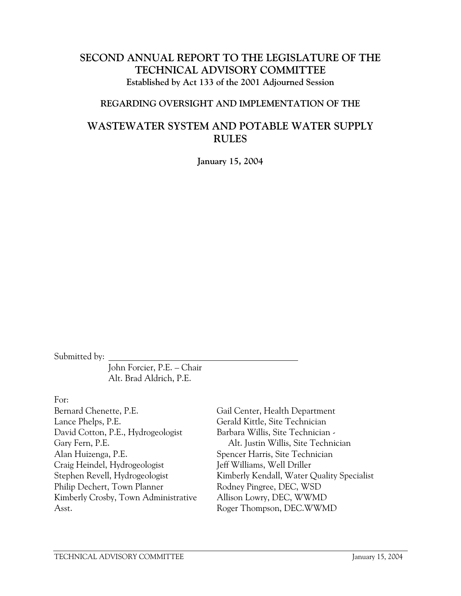# **SECOND ANNUAL REPORT TO THE LEGISLATURE OF THE TECHNICAL ADVISORY COMMITTEE Established by Act 133 of the 2001 Adjourned Session**

#### **REGARDING OVERSIGHT AND IMPLEMENTATION OF THE**

# **WASTEWATER SYSTEM AND POTABLE WATER SUPPLY RULES**

**January 15, 2004** 

Submitted by:

 John Forcier, P.E. – Chair Alt. Brad Aldrich, P.E.

#### For:

Bernard Chenette, P.E. Lance Phelps, P.E. David Cotton, P.E., Hydrogeologist Gary Fern, P.E. Alan Huizenga, P.E. Craig Heindel, Hydrogeologist Stephen Revell, Hydrogeologist Philip Dechert, Town Planner Kimberly Crosby, Town Administrative Asst.

Gail Center, Health Department Gerald Kittle, Site Technician Barbara Willis, Site Technician - Alt. Justin Willis, Site Technician Spencer Harris, Site Technician Jeff Williams, Well Driller Kimberly Kendall, Water Quality Specialist Rodney Pingree, DEC, WSD Allison Lowry, DEC, WWMD Roger Thompson, DEC.WWMD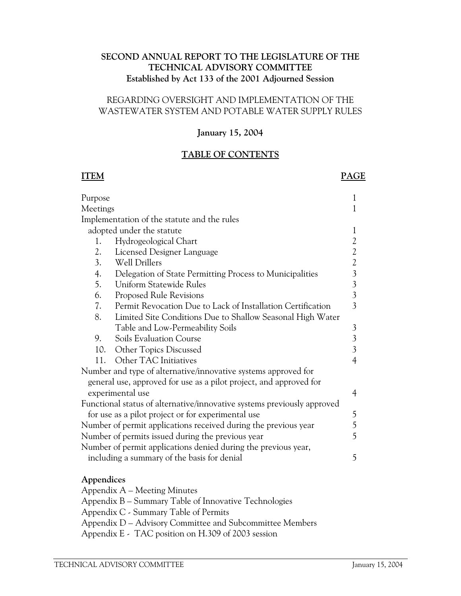## **SECOND ANNUAL REPORT TO THE LEGISLATURE OF THE TECHNICAL ADVISORY COMMITTEE Established by Act 133 of the 2001 Adjourned Session**

#### REGARDING OVERSIGHT AND IMPLEMENTATION OF THE WASTEWATER SYSTEM AND POTABLE WATER SUPPLY RULES

#### **January 15, 2004**

## **TABLE OF CONTENTS**

#### **ITEM PAGE**

| Purpose                                                                 |                                                                    | 1                       |  |  |
|-------------------------------------------------------------------------|--------------------------------------------------------------------|-------------------------|--|--|
| Meetings                                                                |                                                                    |                         |  |  |
|                                                                         | Implementation of the statute and the rules                        |                         |  |  |
|                                                                         | adopted under the statute                                          | 1                       |  |  |
| 1.                                                                      | Hydrogeological Chart                                              | $\overline{2}$          |  |  |
| 2.                                                                      | Licensed Designer Language                                         | $\mathfrak{2}$          |  |  |
| 3.                                                                      | Well Drillers                                                      | $\overline{2}$          |  |  |
| 4.                                                                      | Delegation of State Permitting Process to Municipalities           | $\overline{3}$          |  |  |
| 5.                                                                      | <b>Uniform Statewide Rules</b>                                     | $\mathfrak{Z}$          |  |  |
| 6.                                                                      | <b>Proposed Rule Revisions</b>                                     | $\overline{3}$          |  |  |
| 7.                                                                      | Permit Revocation Due to Lack of Installation Certification        | $\overline{3}$          |  |  |
| 8.                                                                      | Limited Site Conditions Due to Shallow Seasonal High Water         |                         |  |  |
|                                                                         | Table and Low-Permeability Soils                                   | $\mathfrak{Z}$          |  |  |
| 9.                                                                      | Soils Evaluation Course                                            | $\overline{\mathbf{3}}$ |  |  |
| 10.                                                                     | Other Topics Discussed                                             | $\overline{3}$          |  |  |
| 11.                                                                     | Other TAC Initiatives                                              | $\overline{4}$          |  |  |
|                                                                         | Number and type of alternative/innovative systems approved for     |                         |  |  |
|                                                                         | general use, approved for use as a pilot project, and approved for |                         |  |  |
| experimental use                                                        |                                                                    |                         |  |  |
| Functional status of alternative/innovative systems previously approved |                                                                    |                         |  |  |
| 5<br>for use as a pilot project or for experimental use                 |                                                                    |                         |  |  |
| 5<br>Number of permit applications received during the previous year    |                                                                    |                         |  |  |
| 5<br>Number of permits issued during the previous year                  |                                                                    |                         |  |  |
| Number of permit applications denied during the previous year,          |                                                                    |                         |  |  |
| 5<br>including a summary of the basis for denial                        |                                                                    |                         |  |  |
|                                                                         |                                                                    |                         |  |  |

#### **Appendices**

 Appendix A – Meeting Minutes Appendix B – Summary Table of Innovative Technologies Appendix C - Summary Table of Permits Appendix D – Advisory Committee and Subcommittee Members Appendix E - TAC position on H.309 of 2003 session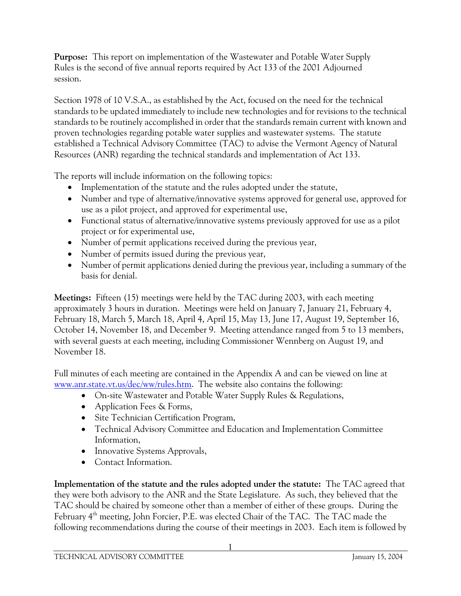**Purpose:** This report on implementation of the Wastewater and Potable Water Supply Rules is the second of five annual reports required by Act 133 of the 2001 Adjourned session.

Section 1978 of 10 V.S.A., as established by the Act, focused on the need for the technical standards to be updated immediately to include new technologies and for revisions to the technical standards to be routinely accomplished in order that the standards remain current with known and proven technologies regarding potable water supplies and wastewater systems. The statute established a Technical Advisory Committee (TAC) to advise the Vermont Agency of Natural Resources (ANR) regarding the technical standards and implementation of Act 133.

The reports will include information on the following topics:

- Implementation of the statute and the rules adopted under the statute,
- Number and type of alternative/innovative systems approved for general use, approved for use as a pilot project, and approved for experimental use,
- Functional status of alternative/innovative systems previously approved for use as a pilot project or for experimental use,
- Number of permit applications received during the previous year,
- Number of permits issued during the previous year,
- Number of permit applications denied during the previous year, including a summary of the basis for denial.

**Meetings:** Fifteen (15) meetings were held by the TAC during 2003, with each meeting approximately 3 hours in duration. Meetings were held on January 7, January 21, February 4, February 18, March 5, March 18, April 4, April 15, May 13, June 17, August 19, September 16, October 14, November 18, and December 9. Meeting attendance ranged from 5 to 13 members, with several guests at each meeting, including Commissioner Wennberg on August 19, and November 18.

Full minutes of each meeting are contained in the Appendix A and can be viewed on line at www.anr.state.vt.us/dec/ww/rules.htm. The website also contains the following:

- On-site Wastewater and Potable Water Supply Rules & Regulations,
- Application Fees & Forms,
- Site Technician Certification Program,
- Technical Advisory Committee and Education and Implementation Committee Information,
- Innovative Systems Approvals,
- Contact Information.

**Implementation of the statute and the rules adopted under the statute:** The TAC agreed that they were both advisory to the ANR and the State Legislature. As such, they believed that the TAC should be chaired by someone other than a member of either of these groups. During the February 4<sup>th</sup> meeting, John Forcier, P.E. was elected Chair of the TAC. The TAC made the following recommendations during the course of their meetings in 2003. Each item is followed by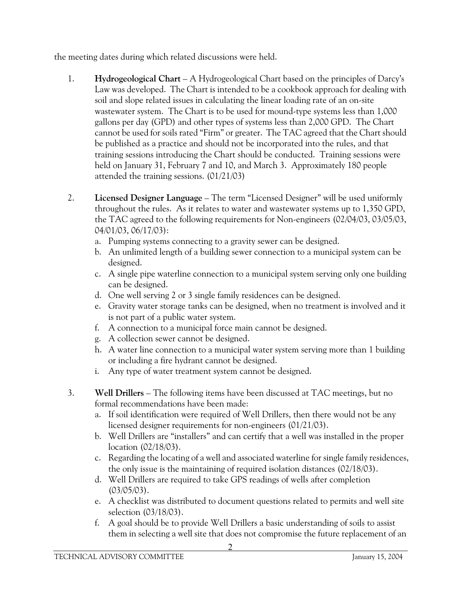the meeting dates during which related discussions were held.

- 1. **Hydrogeological Chart** A Hydrogeological Chart based on the principles of Darcy's Law was developed. The Chart is intended to be a cookbook approach for dealing with soil and slope related issues in calculating the linear loading rate of an on-site wastewater system. The Chart is to be used for mound-type systems less than 1,000 gallons per day (GPD) and other types of systems less than 2,000 GPD. The Chart cannot be used for soils rated "Firm" or greater. The TAC agreed that the Chart should be published as a practice and should not be incorporated into the rules, and that training sessions introducing the Chart should be conducted. Training sessions were held on January 31, February 7 and 10, and March 3. Approximately 180 people attended the training sessions. (01/21/03)
- 2. **Licensed Designer Language** The term "Licensed Designer" will be used uniformly throughout the rules. As it relates to water and wastewater systems up to 1,350 GPD, the TAC agreed to the following requirements for Non-engineers (02/04/03, 03/05/03, 04/01/03, 06/17/03):
	- a. Pumping systems connecting to a gravity sewer can be designed.
	- b. An unlimited length of a building sewer connection to a municipal system can be designed.
	- c. A single pipe waterline connection to a municipal system serving only one building can be designed.
	- d. One well serving 2 or 3 single family residences can be designed.
	- e. Gravity water storage tanks can be designed, when no treatment is involved and it is not part of a public water system.
	- f. A connection to a municipal force main cannot be designed.
	- g. A collection sewer cannot be designed.
	- h. A water line connection to a municipal water system serving more than 1 building or including a fire hydrant cannot be designed.
	- i. Any type of water treatment system cannot be designed.
- 3. **Well Drillers** The following items have been discussed at TAC meetings, but no formal recommendations have been made:
	- a. If soil identification were required of Well Drillers, then there would not be any licensed designer requirements for non-engineers (01/21/03).
	- b. Well Drillers are "installers" and can certify that a well was installed in the proper location (02/18/03).
	- c. Regarding the locating of a well and associated waterline for single family residences, the only issue is the maintaining of required isolation distances (02/18/03).
	- d. Well Drillers are required to take GPS readings of wells after completion (03/05/03).
	- e. A checklist was distributed to document questions related to permits and well site selection (03/18/03).
	- f. A goal should be to provide Well Drillers a basic understanding of soils to assist them in selecting a well site that does not compromise the future replacement of an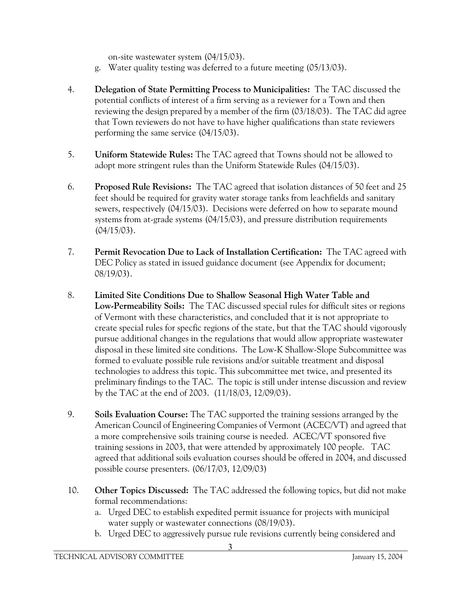on-site wastewater system (04/15/03).

- g. Water quality testing was deferred to a future meeting (05/13/03).
- 4. **Delegation of State Permitting Process to Municipalities:** The TAC discussed the potential conflicts of interest of a firm serving as a reviewer for a Town and then reviewing the design prepared by a member of the firm (03/18/03). The TAC did agree that Town reviewers do not have to have higher qualifications than state reviewers performing the same service (04/15/03).
- 5. **Uniform Statewide Rules:** The TAC agreed that Towns should not be allowed to adopt more stringent rules than the Uniform Statewide Rules (04/15/03).
- 6. **Proposed Rule Revisions:** The TAC agreed that isolation distances of 50 feet and 25 feet should be required for gravity water storage tanks from leachfields and sanitary sewers, respectively (04/15/03). Decisions were deferred on how to separate mound systems from at-grade systems (04/15/03), and pressure distribution requirements (04/15/03).
- 7. **Permit Revocation Due to Lack of Installation Certification:** The TAC agreed with DEC Policy as stated in issued guidance document (see Appendix for document; 08/19/03).
- 8. **Limited Site Conditions Due to Shallow Seasonal High Water Table and Low-Permeability Soils:** The TAC discussed special rules for difficult sites or regions of Vermont with these characteristics, and concluded that it is not appropriate to create special rules for specfic regions of the state, but that the TAC should vigorously pursue additional changes in the regulations that would allow appropriate wastewater disposal in these limited site conditions. The Low-K Shallow-Slope Subcommittee was formed to evaluate possible rule revisions and/or suitable treatment and disposal technologies to address this topic. This subcommittee met twice, and presented its preliminary findings to the TAC. The topic is still under intense discussion and review by the TAC at the end of 2003. (11/18/03, 12/09/03).
- 9. **Soils Evaluation Course:** The TAC supported the training sessions arranged by the American Council of Engineering Companies of Vermont (ACEC/VT) and agreed that a more comprehensive soils training course is needed. ACEC/VT sponsored five training sessions in 2003, that were attended by approximately 100 people. TAC agreed that additional soils evaluation courses should be offered in 2004, and discussed possible course presenters. (06/17/03, 12/09/03)
- 10. **Other Topics Discussed:** The TAC addressed the following topics, but did not make formal recommendations:
	- a. Urged DEC to establish expedited permit issuance for projects with municipal water supply or wastewater connections (08/19/03).
	- b. Urged DEC to aggressively pursue rule revisions currently being considered and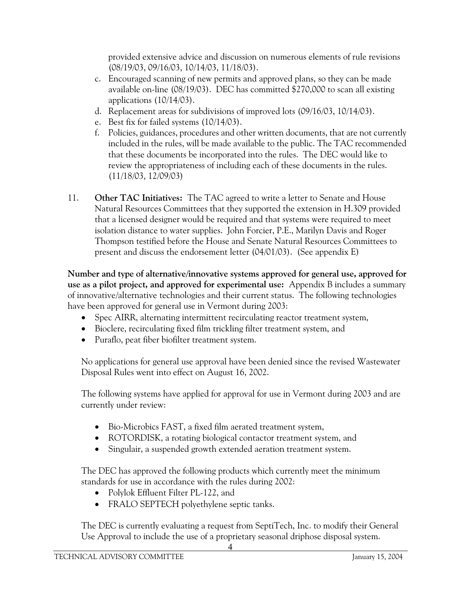provided extensive advice and discussion on numerous elements of rule revisions (08/19/03, 09/16/03, 10/14/03, 11/18/03).

- c. Encouraged scanning of new permits and approved plans, so they can be made available on-line (08/19/03). DEC has committed \$270,000 to scan all existing applications (10/14/03).
- d. Replacement areas for subdivisions of improved lots (09/16/03, 10/14/03).
- e. Best fix for failed systems (10/14/03).
- f. Policies, guidances, procedures and other written documents, that are not currently included in the rules, will be made available to the public. The TAC recommended that these documents be incorporated into the rules. The DEC would like to review the appropriateness of including each of these documents in the rules. (11/18/03, 12/09/03)
- 11. **Other TAC Initiatives:** The TAC agreed to write a letter to Senate and House Natural Resources Committees that they supported the extension in H.309 provided that a licensed designer would be required and that systems were required to meet isolation distance to water supplies. John Forcier, P.E., Marilyn Davis and Roger Thompson testified before the House and Senate Natural Resources Committees to present and discuss the endorsement letter (04/01/03). (See appendix E)

**Number and type of alternative/innovative systems approved for general use, approved for use as a pilot project, and approved for experimental use:** Appendix B includes a summary of innovative/alternative technologies and their current status. The following technologies have been approved for general use in Vermont during 2003:

- Spec AIRR, alternating intermittent recirculating reactor treatment system,
- Bioclere, recirculating fixed film trickling filter treatment system, and
- Puraflo, peat fiber biofilter treatment system.

No applications for general use approval have been denied since the revised Wastewater Disposal Rules went into effect on August 16, 2002.

The following systems have applied for approval for use in Vermont during 2003 and are currently under review:

- Bio-Microbics FAST, a fixed film aerated treatment system,
- ROTORDISK, a rotating biological contactor treatment system, and
- Singulair, a suspended growth extended aeration treatment system.

The DEC has approved the following products which currently meet the minimum standards for use in accordance with the rules during 2002:

- Polylok Effluent Filter PL-122, and
- FRALO SEPTECH polyethylene septic tanks.

The DEC is currently evaluating a request from SeptiTech, Inc. to modify their General Use Approval to include the use of a proprietary seasonal driphose disposal system.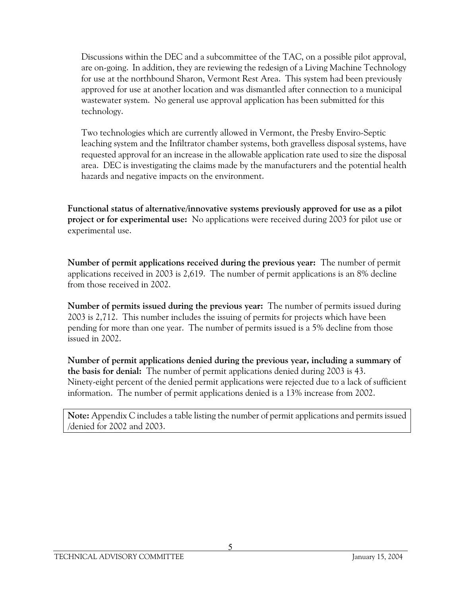Discussions within the DEC and a subcommittee of the TAC, on a possible pilot approval, are on-going. In addition, they are reviewing the redesign of a Living Machine Technology for use at the northbound Sharon, Vermont Rest Area. This system had been previously approved for use at another location and was dismantled after connection to a municipal wastewater system. No general use approval application has been submitted for this technology.

Two technologies which are currently allowed in Vermont, the Presby Enviro-Septic leaching system and the Infiltrator chamber systems, both gravelless disposal systems, have requested approval for an increase in the allowable application rate used to size the disposal area. DEC is investigating the claims made by the manufacturers and the potential health hazards and negative impacts on the environment.

**Functional status of alternative/innovative systems previously approved for use as a pilot project or for experimental use:** No applications were received during 2003 for pilot use or experimental use.

**Number of permit applications received during the previous year:** The number of permit applications received in 2003 is 2,619. The number of permit applications is an 8% decline from those received in 2002.

**Number of permits issued during the previous year:** The number of permits issued during 2003 is 2,712. This number includes the issuing of permits for projects which have been pending for more than one year. The number of permits issued is a 5% decline from those issued in 2002.

**Number of permit applications denied during the previous year, including a summary of the basis for denial:** The number of permit applications denied during 2003 is 43. Ninety-eight percent of the denied permit applications were rejected due to a lack of sufficient information. The number of permit applications denied is a 13% increase from 2002.

**Note:** Appendix C includes a table listing the number of permit applications and permits issued /denied for 2002 and 2003.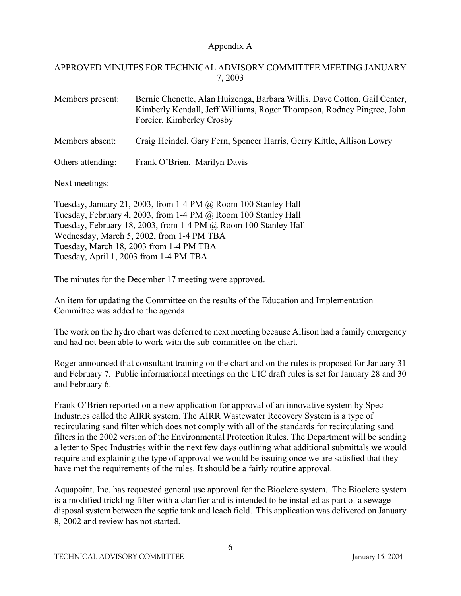## APPROVED MINUTES FOR TECHNICAL ADVISORY COMMITTEE MEETING JANUARY 7, 2003

Members present: Bernie Chenette, Alan Huizenga, Barbara Willis, Dave Cotton, Gail Center, Kimberly Kendall, Jeff Williams, Roger Thompson, Rodney Pingree, John Forcier, Kimberley Crosby

- Members absent: Craig Heindel, Gary Fern, Spencer Harris, Gerry Kittle, Allison Lowry
- Others attending: Frank O'Brien, Marilyn Davis

Next meetings:

Tuesday, January 21, 2003, from 1-4 PM @ Room 100 Stanley Hall Tuesday, February 4, 2003, from 1-4 PM @ Room 100 Stanley Hall Tuesday, February 18, 2003, from 1-4 PM @ Room 100 Stanley Hall Wednesday, March 5, 2002, from 1-4 PM TBA Tuesday, March 18, 2003 from 1-4 PM TBA Tuesday, April 1, 2003 from 1-4 PM TBA

The minutes for the December 17 meeting were approved.

An item for updating the Committee on the results of the Education and Implementation Committee was added to the agenda.

The work on the hydro chart was deferred to next meeting because Allison had a family emergency and had not been able to work with the sub-committee on the chart.

Roger announced that consultant training on the chart and on the rules is proposed for January 31 and February 7. Public informational meetings on the UIC draft rules is set for January 28 and 30 and February 6.

Frank O'Brien reported on a new application for approval of an innovative system by Spec Industries called the AIRR system. The AIRR Wastewater Recovery System is a type of recirculating sand filter which does not comply with all of the standards for recirculating sand filters in the 2002 version of the Environmental Protection Rules. The Department will be sending a letter to Spec Industries within the next few days outlining what additional submittals we would require and explaining the type of approval we would be issuing once we are satisfied that they have met the requirements of the rules. It should be a fairly routine approval.

Aquapoint, Inc. has requested general use approval for the Bioclere system. The Bioclere system is a modified trickling filter with a clarifier and is intended to be installed as part of a sewage disposal system between the septic tank and leach field. This application was delivered on January 8, 2002 and review has not started.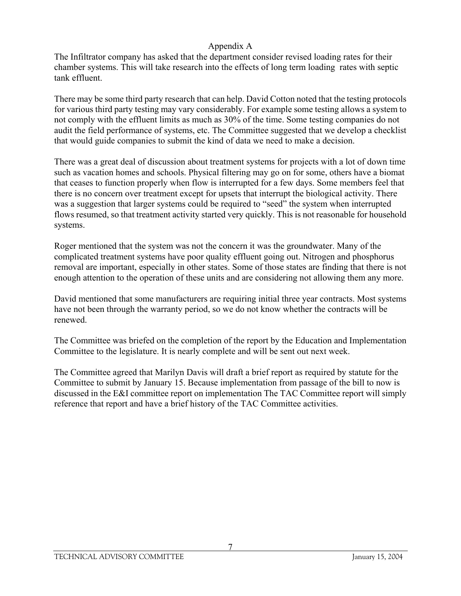The Infiltrator company has asked that the department consider revised loading rates for their chamber systems. This will take research into the effects of long term loading rates with septic tank effluent.

There may be some third party research that can help. David Cotton noted that the testing protocols for various third party testing may vary considerably. For example some testing allows a system to not comply with the effluent limits as much as 30% of the time. Some testing companies do not audit the field performance of systems, etc. The Committee suggested that we develop a checklist that would guide companies to submit the kind of data we need to make a decision.

There was a great deal of discussion about treatment systems for projects with a lot of down time such as vacation homes and schools. Physical filtering may go on for some, others have a biomat that ceases to function properly when flow is interrupted for a few days. Some members feel that there is no concern over treatment except for upsets that interrupt the biological activity. There was a suggestion that larger systems could be required to "seed" the system when interrupted flows resumed, so that treatment activity started very quickly. This is not reasonable for household systems.

Roger mentioned that the system was not the concern it was the groundwater. Many of the complicated treatment systems have poor quality effluent going out. Nitrogen and phosphorus removal are important, especially in other states. Some of those states are finding that there is not enough attention to the operation of these units and are considering not allowing them any more.

David mentioned that some manufacturers are requiring initial three year contracts. Most systems have not been through the warranty period, so we do not know whether the contracts will be renewed.

The Committee was briefed on the completion of the report by the Education and Implementation Committee to the legislature. It is nearly complete and will be sent out next week.

The Committee agreed that Marilyn Davis will draft a brief report as required by statute for the Committee to submit by January 15. Because implementation from passage of the bill to now is discussed in the E&I committee report on implementation The TAC Committee report will simply reference that report and have a brief history of the TAC Committee activities.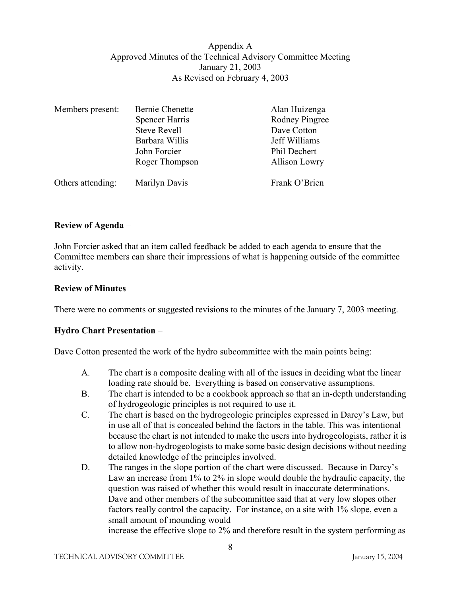#### Appendix A Approved Minutes of the Technical Advisory Committee Meeting January 21, 2003 As Revised on February 4, 2003

| Members present:  | <b>Bernie Chenette</b> | Alan Huizenga        |  |
|-------------------|------------------------|----------------------|--|
|                   | <b>Spencer Harris</b>  | Rodney Pingree       |  |
|                   | <b>Steve Revell</b>    | Dave Cotton          |  |
|                   | Barbara Willis         | Jeff Williams        |  |
|                   | John Forcier           | Phil Dechert         |  |
|                   | Roger Thompson         | <b>Allison Lowry</b> |  |
| Others attending: | Marilyn Davis          | Frank O'Brien        |  |

## **Review of Agenda** –

John Forcier asked that an item called feedback be added to each agenda to ensure that the Committee members can share their impressions of what is happening outside of the committee activity.

#### **Review of Minutes** –

There were no comments or suggested revisions to the minutes of the January 7, 2003 meeting.

#### **Hydro Chart Presentation** –

Dave Cotton presented the work of the hydro subcommittee with the main points being:

- A. The chart is a composite dealing with all of the issues in deciding what the linear loading rate should be. Everything is based on conservative assumptions.
- B. The chart is intended to be a cookbook approach so that an in-depth understanding of hydrogeologic principles is not required to use it.
- C. The chart is based on the hydrogeologic principles expressed in Darcy's Law, but in use all of that is concealed behind the factors in the table. This was intentional because the chart is not intended to make the users into hydrogeologists, rather it is to allow non-hydrogeologists to make some basic design decisions without needing detailed knowledge of the principles involved.
- D. The ranges in the slope portion of the chart were discussed. Because in Darcy's Law an increase from 1% to 2% in slope would double the hydraulic capacity, the question was raised of whether this would result in inaccurate determinations. Dave and other members of the subcommittee said that at very low slopes other factors really control the capacity. For instance, on a site with 1% slope, even a small amount of mounding would

increase the effective slope to 2% and therefore result in the system performing as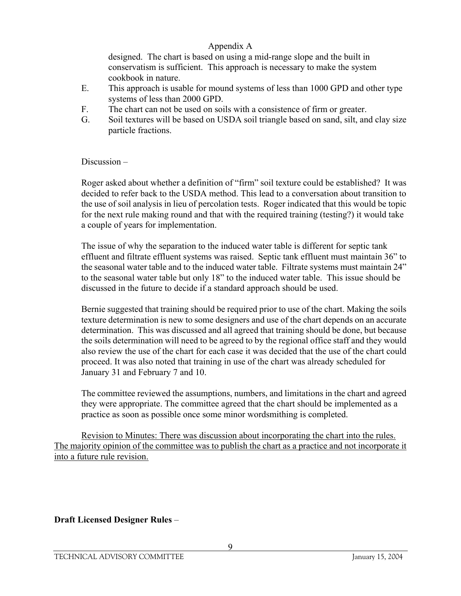designed. The chart is based on using a mid-range slope and the built in conservatism is sufficient. This approach is necessary to make the system cookbook in nature.

- E. This approach is usable for mound systems of less than 1000 GPD and other type systems of less than 2000 GPD.
- F. The chart can not be used on soils with a consistence of firm or greater.
- G. Soil textures will be based on USDA soil triangle based on sand, silt, and clay size particle fractions.

Discussion –

Roger asked about whether a definition of "firm" soil texture could be established? It was decided to refer back to the USDA method. This lead to a conversation about transition to the use of soil analysis in lieu of percolation tests. Roger indicated that this would be topic for the next rule making round and that with the required training (testing?) it would take a couple of years for implementation.

The issue of why the separation to the induced water table is different for septic tank effluent and filtrate effluent systems was raised. Septic tank effluent must maintain 36" to the seasonal water table and to the induced water table. Filtrate systems must maintain 24" to the seasonal water table but only 18" to the induced water table. This issue should be discussed in the future to decide if a standard approach should be used.

Bernie suggested that training should be required prior to use of the chart. Making the soils texture determination is new to some designers and use of the chart depends on an accurate determination. This was discussed and all agreed that training should be done, but because the soils determination will need to be agreed to by the regional office staff and they would also review the use of the chart for each case it was decided that the use of the chart could proceed. It was also noted that training in use of the chart was already scheduled for January 31 and February 7 and 10.

The committee reviewed the assumptions, numbers, and limitations in the chart and agreed they were appropriate. The committee agreed that the chart should be implemented as a practice as soon as possible once some minor wordsmithing is completed.

 Revision to Minutes: There was discussion about incorporating the chart into the rules. The majority opinion of the committee was to publish the chart as a practice and not incorporate it into a future rule revision.

**Draft Licensed Designer Rules** –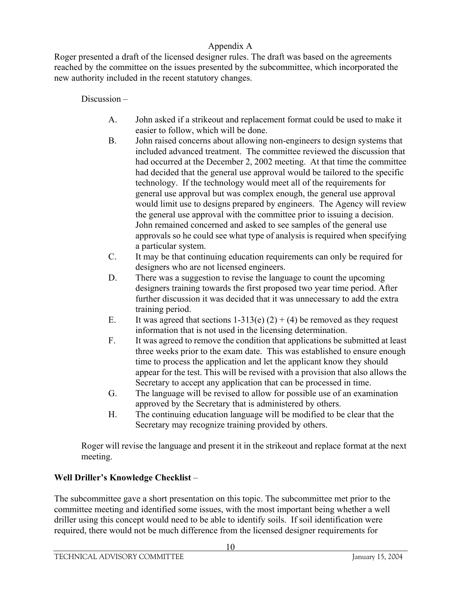Roger presented a draft of the licensed designer rules. The draft was based on the agreements reached by the committee on the issues presented by the subcommittee, which incorporated the new authority included in the recent statutory changes.

# Discussion –

- A. John asked if a strikeout and replacement format could be used to make it easier to follow, which will be done.
- B. John raised concerns about allowing non-engineers to design systems that included advanced treatment. The committee reviewed the discussion that had occurred at the December 2, 2002 meeting. At that time the committee had decided that the general use approval would be tailored to the specific technology. If the technology would meet all of the requirements for general use approval but was complex enough, the general use approval would limit use to designs prepared by engineers. The Agency will review the general use approval with the committee prior to issuing a decision. John remained concerned and asked to see samples of the general use approvals so he could see what type of analysis is required when specifying a particular system.
- C. It may be that continuing education requirements can only be required for designers who are not licensed engineers.
- D. There was a suggestion to revise the language to count the upcoming designers training towards the first proposed two year time period. After further discussion it was decided that it was unnecessary to add the extra training period.
- E. It was agreed that sections  $1-313(e) (2) + (4)$  be removed as they request information that is not used in the licensing determination.
- F. It was agreed to remove the condition that applications be submitted at least three weeks prior to the exam date. This was established to ensure enough time to process the application and let the applicant know they should appear for the test. This will be revised with a provision that also allows the Secretary to accept any application that can be processed in time.
- G. The language will be revised to allow for possible use of an examination approved by the Secretary that is administered by others.
- H. The continuing education language will be modified to be clear that the Secretary may recognize training provided by others.

Roger will revise the language and present it in the strikeout and replace format at the next meeting.

# **Well Driller's Knowledge Checklist** –

The subcommittee gave a short presentation on this topic. The subcommittee met prior to the committee meeting and identified some issues, with the most important being whether a well driller using this concept would need to be able to identify soils. If soil identification were required, there would not be much difference from the licensed designer requirements for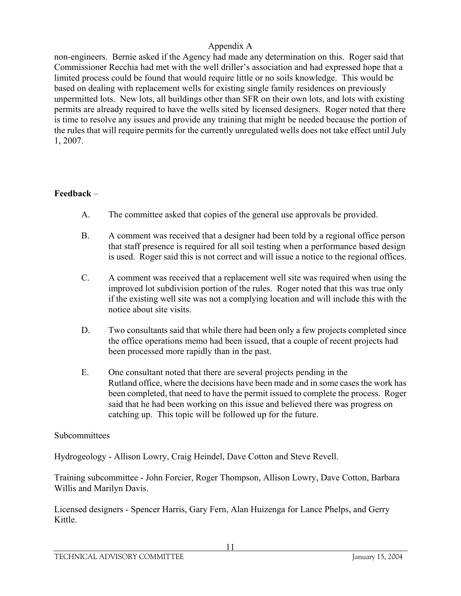non-engineers. Bernie asked if the Agency had made any determination on this. Roger said that Commissioner Recchia had met with the well driller's association and had expressed hope that a limited process could be found that would require little or no soils knowledge. This would be based on dealing with replacement wells for existing single family residences on previously unpermitted lots. New lots, all buildings other than SFR on their own lots, and lots with existing permits are already required to have the wells sited by licensed designers. Roger noted that there is time to resolve any issues and provide any training that might be needed because the portion of the rules that will require permits for the currently unregulated wells does not take effect until July 1, 2007.

## **Feedback** –

- A. The committee asked that copies of the general use approvals be provided.
- B. A comment was received that a designer had been told by a regional office person that staff presence is required for all soil testing when a performance based design is used. Roger said this is not correct and will issue a notice to the regional offices.
- C. A comment was received that a replacement well site was required when using the improved lot subdivision portion of the rules. Roger noted that this was true only if the existing well site was not a complying location and will include this with the notice about site visits.
- D. Two consultants said that while there had been only a few projects completed since the office operations memo had been issued, that a couple of recent projects had been processed more rapidly than in the past.
- E. One consultant noted that there are several projects pending in the Rutland office, where the decisions have been made and in some cases the work has been completed, that need to have the permit issued to complete the process. Roger said that he had been working on this issue and believed there was progress on catching up. This topic will be followed up for the future.

## Subcommittees

Hydrogeology - Allison Lowry, Craig Heindel, Dave Cotton and Steve Revell.

Training subcommittee - John Forcier, Roger Thompson, Allison Lowry, Dave Cotton, Barbara Willis and Marilyn Davis.

Licensed designers - Spencer Harris, Gary Fern, Alan Huizenga for Lance Phelps, and Gerry Kittle.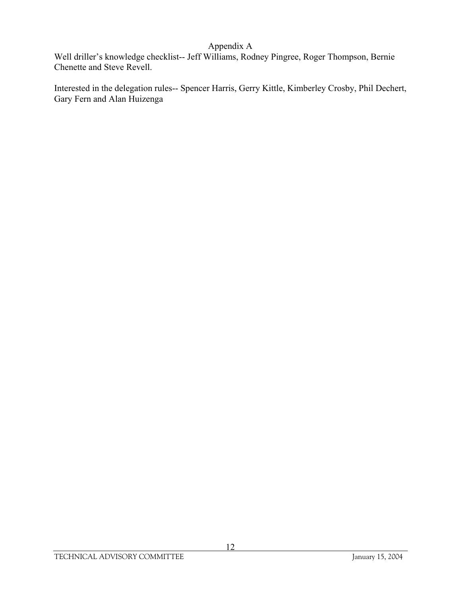Well driller's knowledge checklist-- Jeff Williams, Rodney Pingree, Roger Thompson, Bernie Chenette and Steve Revell.

Interested in the delegation rules-- Spencer Harris, Gerry Kittle, Kimberley Crosby, Phil Dechert, Gary Fern and Alan Huizenga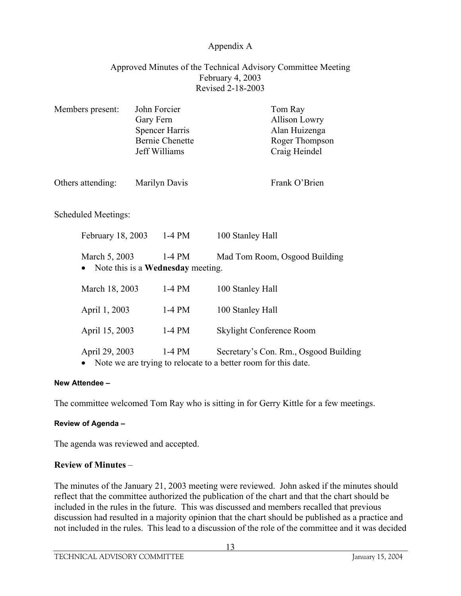## Approved Minutes of the Technical Advisory Committee Meeting February 4, 2003 Revised 2-18-2003

| Members present:    | Gary Fern | John Forcier<br><b>Spencer Harris</b><br><b>Bernie Chenette</b><br>Jeff Williams | Tom Ray<br><b>Allison Lowry</b><br>Alan Huizenga<br>Roger Thompson<br>Craig Heindel                     |
|---------------------|-----------|----------------------------------------------------------------------------------|---------------------------------------------------------------------------------------------------------|
| Others attending:   |           | Marilyn Davis                                                                    | Frank O'Brien                                                                                           |
| Scheduled Meetings: |           |                                                                                  |                                                                                                         |
| February 18, 2003   |           | $1-4$ PM                                                                         | 100 Stanley Hall                                                                                        |
| March 5, 2003       |           | $1-4$ PM<br>Note this is a <b>Wednesday</b> meeting.                             | Mad Tom Room, Osgood Building                                                                           |
| March 18, 2003      |           | $1-4$ PM                                                                         | 100 Stanley Hall                                                                                        |
| April 1, 2003       |           | $1-4$ PM                                                                         | 100 Stanley Hall                                                                                        |
| April 15, 2003      |           | $1-4$ PM                                                                         | Skylight Conference Room                                                                                |
| April 29, 2003      |           | $1-4$ PM                                                                         | Secretary's Con. Rm., Osgood Building<br>Note we are trying to relocate to a better room for this date. |

#### **New Attendee –**

The committee welcomed Tom Ray who is sitting in for Gerry Kittle for a few meetings.

#### **Review of Agenda –**

The agenda was reviewed and accepted.

## **Review of Minutes** –

The minutes of the January 21, 2003 meeting were reviewed. John asked if the minutes should reflect that the committee authorized the publication of the chart and that the chart should be included in the rules in the future. This was discussed and members recalled that previous discussion had resulted in a majority opinion that the chart should be published as a practice and not included in the rules. This lead to a discussion of the role of the committee and it was decided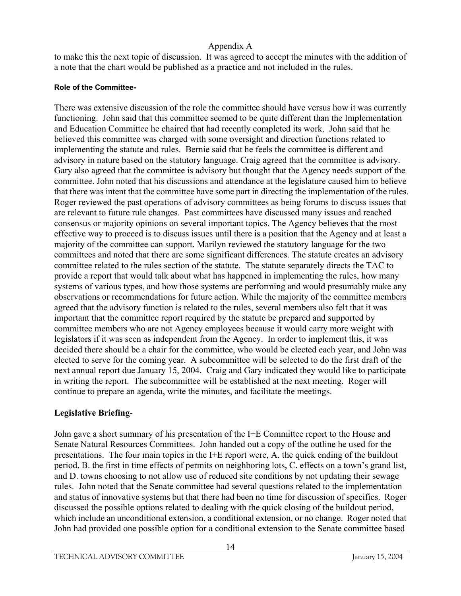to make this the next topic of discussion. It was agreed to accept the minutes with the addition of a note that the chart would be published as a practice and not included in the rules.

## **Role of the Committee-**

There was extensive discussion of the role the committee should have versus how it was currently functioning. John said that this committee seemed to be quite different than the Implementation and Education Committee he chaired that had recently completed its work. John said that he believed this committee was charged with some oversight and direction functions related to implementing the statute and rules. Bernie said that he feels the committee is different and advisory in nature based on the statutory language. Craig agreed that the committee is advisory. Gary also agreed that the committee is advisory but thought that the Agency needs support of the committee. John noted that his discussions and attendance at the legislature caused him to believe that there was intent that the committee have some part in directing the implementation of the rules. Roger reviewed the past operations of advisory committees as being forums to discuss issues that are relevant to future rule changes. Past committees have discussed many issues and reached consensus or majority opinions on several important topics. The Agency believes that the most effective way to proceed is to discuss issues until there is a position that the Agency and at least a majority of the committee can support. Marilyn reviewed the statutory language for the two committees and noted that there are some significant differences. The statute creates an advisory committee related to the rules section of the statute. The statute separately directs the TAC to provide a report that would talk about what has happened in implementing the rules, how many systems of various types, and how those systems are performing and would presumably make any observations or recommendations for future action. While the majority of the committee members agreed that the advisory function is related to the rules, several members also felt that it was important that the committee report required by the statute be prepared and supported by committee members who are not Agency employees because it would carry more weight with legislators if it was seen as independent from the Agency. In order to implement this, it was decided there should be a chair for the committee, who would be elected each year, and John was elected to serve for the coming year. A subcommittee will be selected to do the first draft of the next annual report due January 15, 2004. Craig and Gary indicated they would like to participate in writing the report. The subcommittee will be established at the next meeting. Roger will continue to prepare an agenda, write the minutes, and facilitate the meetings.

# **Legislative Briefing**-

John gave a short summary of his presentation of the I+E Committee report to the House and Senate Natural Resources Committees. John handed out a copy of the outline he used for the presentations. The four main topics in the I+E report were, A. the quick ending of the buildout period, B. the first in time effects of permits on neighboring lots, C. effects on a town's grand list, and D. towns choosing to not allow use of reduced site conditions by not updating their sewage rules. John noted that the Senate committee had several questions related to the implementation and status of innovative systems but that there had been no time for discussion of specifics. Roger discussed the possible options related to dealing with the quick closing of the buildout period, which include an unconditional extension, a conditional extension, or no change. Roger noted that John had provided one possible option for a conditional extension to the Senate committee based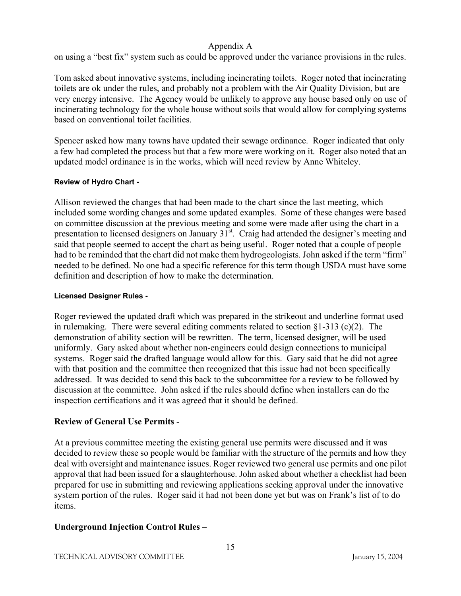on using a "best fix" system such as could be approved under the variance provisions in the rules.

Tom asked about innovative systems, including incinerating toilets. Roger noted that incinerating toilets are ok under the rules, and probably not a problem with the Air Quality Division, but are very energy intensive. The Agency would be unlikely to approve any house based only on use of incinerating technology for the whole house without soils that would allow for complying systems based on conventional toilet facilities.

Spencer asked how many towns have updated their sewage ordinance. Roger indicated that only a few had completed the process but that a few more were working on it. Roger also noted that an updated model ordinance is in the works, which will need review by Anne Whiteley.

# **Review of Hydro Chart -**

Allison reviewed the changes that had been made to the chart since the last meeting, which included some wording changes and some updated examples. Some of these changes were based on committee discussion at the previous meeting and some were made after using the chart in a presentation to licensed designers on January  $31<sup>st</sup>$ . Craig had attended the designer's meeting and said that people seemed to accept the chart as being useful. Roger noted that a couple of people had to be reminded that the chart did not make them hydrogeologists. John asked if the term "firm" needed to be defined. No one had a specific reference for this term though USDA must have some definition and description of how to make the determination.

# **Licensed Designer Rules -**

Roger reviewed the updated draft which was prepared in the strikeout and underline format used in rulemaking. There were several editing comments related to section  $\S 1-313$  (c)(2). The demonstration of ability section will be rewritten. The term, licensed designer, will be used uniformly. Gary asked about whether non-engineers could design connections to municipal systems. Roger said the drafted language would allow for this. Gary said that he did not agree with that position and the committee then recognized that this issue had not been specifically addressed. It was decided to send this back to the subcommittee for a review to be followed by discussion at the committee. John asked if the rules should define when installers can do the inspection certifications and it was agreed that it should be defined.

# **Review of General Use Permits** -

At a previous committee meeting the existing general use permits were discussed and it was decided to review these so people would be familiar with the structure of the permits and how they deal with oversight and maintenance issues. Roger reviewed two general use permits and one pilot approval that had been issued for a slaughterhouse. John asked about whether a checklist had been prepared for use in submitting and reviewing applications seeking approval under the innovative system portion of the rules. Roger said it had not been done yet but was on Frank's list of to do items.

# **Underground Injection Control Rules** –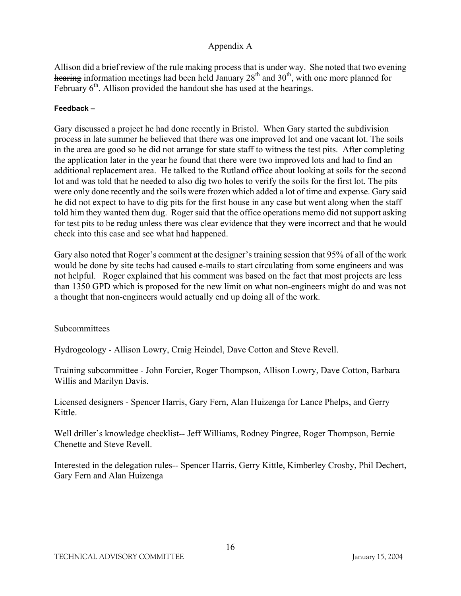Allison did a brief review of the rule making process that is under way. She noted that two evening hearing information meetings had been held January  $28<sup>th</sup>$  and  $30<sup>th</sup>$ , with one more planned for February  $6<sup>th</sup>$ . Allison provided the handout she has used at the hearings.

#### **Feedback –**

Gary discussed a project he had done recently in Bristol. When Gary started the subdivision process in late summer he believed that there was one improved lot and one vacant lot. The soils in the area are good so he did not arrange for state staff to witness the test pits. After completing the application later in the year he found that there were two improved lots and had to find an additional replacement area. He talked to the Rutland office about looking at soils for the second lot and was told that he needed to also dig two holes to verify the soils for the first lot. The pits were only done recently and the soils were frozen which added a lot of time and expense. Gary said he did not expect to have to dig pits for the first house in any case but went along when the staff told him they wanted them dug. Roger said that the office operations memo did not support asking for test pits to be redug unless there was clear evidence that they were incorrect and that he would check into this case and see what had happened.

Gary also noted that Roger's comment at the designer's training session that 95% of all of the work would be done by site techs had caused e-mails to start circulating from some engineers and was not helpful. Roger explained that his comment was based on the fact that most projects are less than 1350 GPD which is proposed for the new limit on what non-engineers might do and was not a thought that non-engineers would actually end up doing all of the work.

## **Subcommittees**

Hydrogeology - Allison Lowry, Craig Heindel, Dave Cotton and Steve Revell.

Training subcommittee - John Forcier, Roger Thompson, Allison Lowry, Dave Cotton, Barbara Willis and Marilyn Davis.

Licensed designers - Spencer Harris, Gary Fern, Alan Huizenga for Lance Phelps, and Gerry Kittle.

Well driller's knowledge checklist-- Jeff Williams, Rodney Pingree, Roger Thompson, Bernie Chenette and Steve Revell.

Interested in the delegation rules-- Spencer Harris, Gerry Kittle, Kimberley Crosby, Phil Dechert, Gary Fern and Alan Huizenga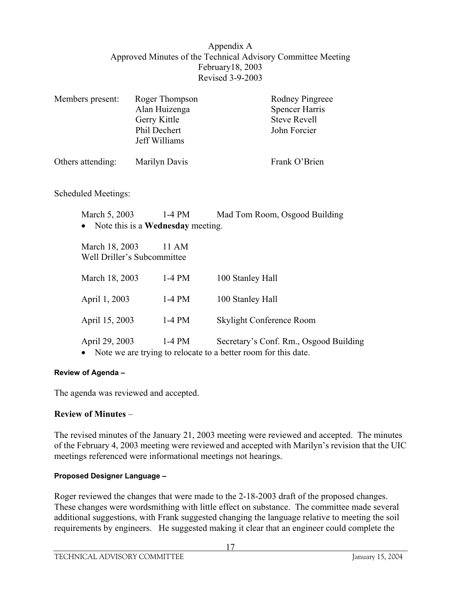## Appendix A Approved Minutes of the Technical Advisory Committee Meeting February18, 2003 Revised 3-9-2003

| Members present:                              | Roger Thompson<br>Alan Huizenga<br>Gerry Kittle<br>Phil Dechert<br>Jeff Williams | Rodney Pingreee<br><b>Spencer Harris</b><br><b>Steve Revell</b><br>John Forcier                          |
|-----------------------------------------------|----------------------------------------------------------------------------------|----------------------------------------------------------------------------------------------------------|
| Others attending:                             | Marilyn Davis                                                                    | Frank O'Brien                                                                                            |
| Scheduled Meetings:                           |                                                                                  |                                                                                                          |
| March 5, 2003                                 | 1-4 PM<br>Note this is a <b>Wednesday</b> meeting.                               | Mad Tom Room, Osgood Building                                                                            |
| March 18, 2003<br>Well Driller's Subcommittee | 11 AM                                                                            |                                                                                                          |
| March 18, 2003                                | $1-4$ PM                                                                         | 100 Stanley Hall                                                                                         |
| April 1, 2003                                 | $1-4$ PM                                                                         | 100 Stanley Hall                                                                                         |
| April 15, 2003                                | $1-4$ PM                                                                         | Skylight Conference Room                                                                                 |
| April 29, 2003                                | $1-4$ PM                                                                         | Secretary's Conf. Rm., Osgood Building<br>Note we are trying to relocate to a better room for this date. |

#### **Review of Agenda –**

The agenda was reviewed and accepted.

#### **Review of Minutes** –

The revised minutes of the January 21, 2003 meeting were reviewed and accepted. The minutes of the February 4, 2003 meeting were reviewed and accepted with Marilyn's revision that the UIC meetings referenced were informational meetings not hearings.

#### **Proposed Designer Language –**

Roger reviewed the changes that were made to the 2-18-2003 draft of the proposed changes. These changes were wordsmithing with little effect on substance. The committee made several additional suggestions, with Frank suggested changing the language relative to meeting the soil requirements by engineers. He suggested making it clear that an engineer could complete the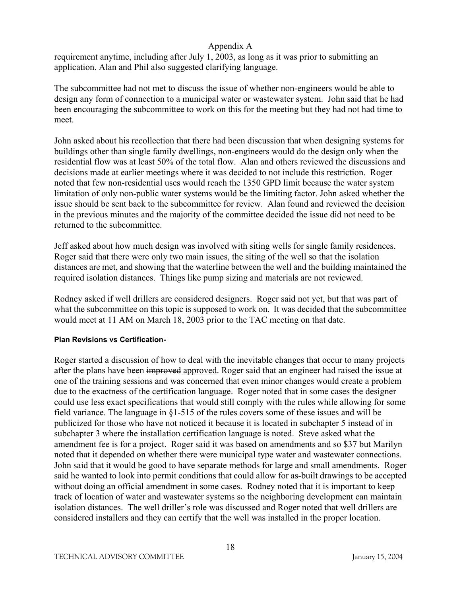requirement anytime, including after July 1, 2003, as long as it was prior to submitting an application. Alan and Phil also suggested clarifying language.

The subcommittee had not met to discuss the issue of whether non-engineers would be able to design any form of connection to a municipal water or wastewater system. John said that he had been encouraging the subcommittee to work on this for the meeting but they had not had time to meet.

John asked about his recollection that there had been discussion that when designing systems for buildings other than single family dwellings, non-engineers would do the design only when the residential flow was at least 50% of the total flow. Alan and others reviewed the discussions and decisions made at earlier meetings where it was decided to not include this restriction. Roger noted that few non-residential uses would reach the 1350 GPD limit because the water system limitation of only non-public water systems would be the limiting factor. John asked whether the issue should be sent back to the subcommittee for review. Alan found and reviewed the decision in the previous minutes and the majority of the committee decided the issue did not need to be returned to the subcommittee.

Jeff asked about how much design was involved with siting wells for single family residences. Roger said that there were only two main issues, the siting of the well so that the isolation distances are met, and showing that the waterline between the well and the building maintained the required isolation distances. Things like pump sizing and materials are not reviewed.

Rodney asked if well drillers are considered designers. Roger said not yet, but that was part of what the subcommittee on this topic is supposed to work on. It was decided that the subcommittee would meet at 11 AM on March 18, 2003 prior to the TAC meeting on that date.

## **Plan Revisions vs Certification-**

Roger started a discussion of how to deal with the inevitable changes that occur to many projects after the plans have been improved approved. Roger said that an engineer had raised the issue at one of the training sessions and was concerned that even minor changes would create a problem due to the exactness of the certification language. Roger noted that in some cases the designer could use less exact specifications that would still comply with the rules while allowing for some field variance. The language in §1-515 of the rules covers some of these issues and will be publicized for those who have not noticed it because it is located in subchapter 5 instead of in subchapter 3 where the installation certification language is noted. Steve asked what the amendment fee is for a project. Roger said it was based on amendments and so \$37 but Marilyn noted that it depended on whether there were municipal type water and wastewater connections. John said that it would be good to have separate methods for large and small amendments. Roger said he wanted to look into permit conditions that could allow for as-built drawings to be accepted without doing an official amendment in some cases. Rodney noted that it is important to keep track of location of water and wastewater systems so the neighboring development can maintain isolation distances. The well driller's role was discussed and Roger noted that well drillers are considered installers and they can certify that the well was installed in the proper location.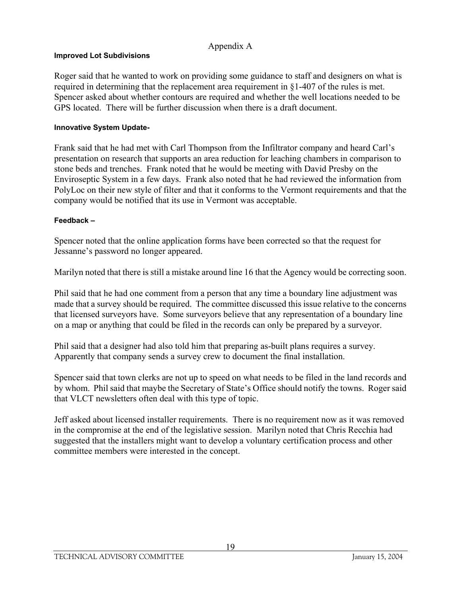#### **Improved Lot Subdivisions**

Roger said that he wanted to work on providing some guidance to staff and designers on what is required in determining that the replacement area requirement in §1-407 of the rules is met. Spencer asked about whether contours are required and whether the well locations needed to be GPS located. There will be further discussion when there is a draft document.

#### **Innovative System Update-**

Frank said that he had met with Carl Thompson from the Infiltrator company and heard Carl's presentation on research that supports an area reduction for leaching chambers in comparison to stone beds and trenches. Frank noted that he would be meeting with David Presby on the Enviroseptic System in a few days. Frank also noted that he had reviewed the information from PolyLoc on their new style of filter and that it conforms to the Vermont requirements and that the company would be notified that its use in Vermont was acceptable.

#### **Feedback –**

Spencer noted that the online application forms have been corrected so that the request for Jessanne's password no longer appeared.

Marilyn noted that there is still a mistake around line 16 that the Agency would be correcting soon.

Phil said that he had one comment from a person that any time a boundary line adjustment was made that a survey should be required. The committee discussed this issue relative to the concerns that licensed surveyors have. Some surveyors believe that any representation of a boundary line on a map or anything that could be filed in the records can only be prepared by a surveyor.

Phil said that a designer had also told him that preparing as-built plans requires a survey. Apparently that company sends a survey crew to document the final installation.

Spencer said that town clerks are not up to speed on what needs to be filed in the land records and by whom. Phil said that maybe the Secretary of State's Office should notify the towns. Roger said that VLCT newsletters often deal with this type of topic.

Jeff asked about licensed installer requirements. There is no requirement now as it was removed in the compromise at the end of the legislative session. Marilyn noted that Chris Recchia had suggested that the installers might want to develop a voluntary certification process and other committee members were interested in the concept.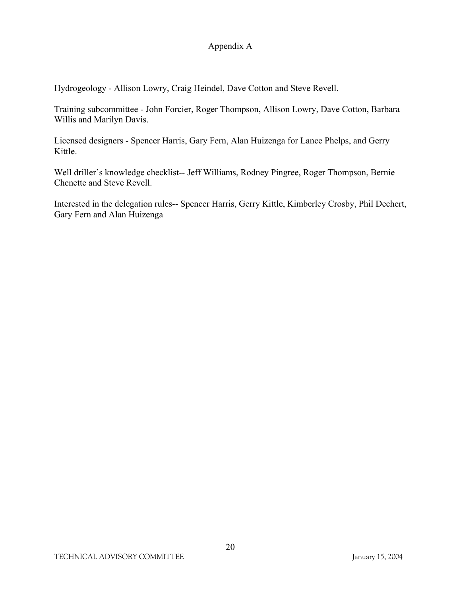Hydrogeology - Allison Lowry, Craig Heindel, Dave Cotton and Steve Revell.

Training subcommittee - John Forcier, Roger Thompson, Allison Lowry, Dave Cotton, Barbara Willis and Marilyn Davis.

Licensed designers - Spencer Harris, Gary Fern, Alan Huizenga for Lance Phelps, and Gerry Kittle.

Well driller's knowledge checklist-- Jeff Williams, Rodney Pingree, Roger Thompson, Bernie Chenette and Steve Revell.

Interested in the delegation rules-- Spencer Harris, Gerry Kittle, Kimberley Crosby, Phil Dechert, Gary Fern and Alan Huizenga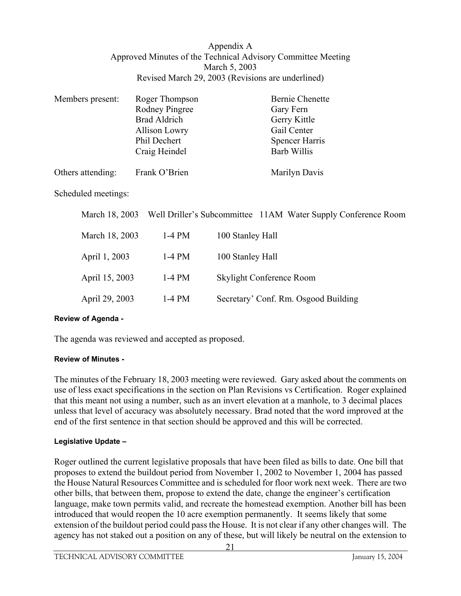#### Appendix A Approved Minutes of the Technical Advisory Committee Meeting March 5, 2003 Revised March 29, 2003 (Revisions are underlined)

| Members present:    | Roger Thompson<br>Rodney Pingree<br><b>Brad Aldrich</b><br>Allison Lowry<br>Phil Dechert | <b>Bernie Chenette</b><br>Gary Fern<br>Gerry Kittle<br>Gail Center<br><b>Spencer Harris</b> |
|---------------------|------------------------------------------------------------------------------------------|---------------------------------------------------------------------------------------------|
|                     | Craig Heindel                                                                            | Barb Willis                                                                                 |
| Others attending:   | Frank O'Brien                                                                            | Marilyn Davis                                                                               |
| Scheduled meetings: |                                                                                          |                                                                                             |
| March 18, 2003      |                                                                                          | Well Driller's Subcommittee 11AM Water Supply Conference Room                               |

| March 18, 2003 | $1-4$ PM | 100 Stanley Hall                     |
|----------------|----------|--------------------------------------|
| April 1, 2003  | $1-4$ PM | 100 Stanley Hall                     |
| April 15, 2003 | $1-4$ PM | Skylight Conference Room             |
| April 29, 2003 | $1-4$ PM | Secretary' Conf. Rm. Osgood Building |

#### **Review of Agenda -**

The agenda was reviewed and accepted as proposed.

#### **Review of Minutes -**

The minutes of the February 18, 2003 meeting were reviewed. Gary asked about the comments on use of less exact specifications in the section on Plan Revisions vs Certification. Roger explained that this meant not using a number, such as an invert elevation at a manhole, to 3 decimal places unless that level of accuracy was absolutely necessary. Brad noted that the word improved at the end of the first sentence in that section should be approved and this will be corrected.

#### **Legislative Update –**

Roger outlined the current legislative proposals that have been filed as bills to date. One bill that proposes to extend the buildout period from November 1, 2002 to November 1, 2004 has passed the House Natural Resources Committee and is scheduled for floor work next week. There are two other bills, that between them, propose to extend the date, change the engineer's certification language, make town permits valid, and recreate the homestead exemption. Another bill has been introduced that would reopen the 10 acre exemption permanently. It seems likely that some extension of the buildout period could pass the House. It is not clear if any other changes will. The agency has not staked out a position on any of these, but will likely be neutral on the extension to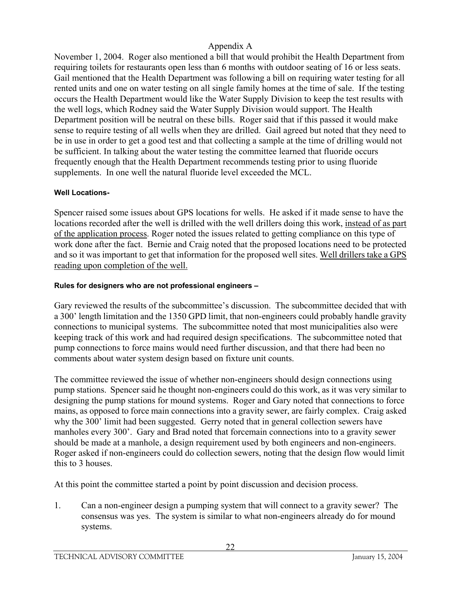November 1, 2004. Roger also mentioned a bill that would prohibit the Health Department from requiring toilets for restaurants open less than 6 months with outdoor seating of 16 or less seats. Gail mentioned that the Health Department was following a bill on requiring water testing for all rented units and one on water testing on all single family homes at the time of sale. If the testing occurs the Health Department would like the Water Supply Division to keep the test results with the well logs, which Rodney said the Water Supply Division would support. The Health Department position will be neutral on these bills. Roger said that if this passed it would make sense to require testing of all wells when they are drilled. Gail agreed but noted that they need to be in use in order to get a good test and that collecting a sample at the time of drilling would not be sufficient. In talking about the water testing the committee learned that fluoride occurs frequently enough that the Health Department recommends testing prior to using fluoride supplements. In one well the natural fluoride level exceeded the MCL.

## **Well Locations-**

Spencer raised some issues about GPS locations for wells. He asked if it made sense to have the locations recorded after the well is drilled with the well drillers doing this work, instead of as part of the application process. Roger noted the issues related to getting compliance on this type of work done after the fact. Bernie and Craig noted that the proposed locations need to be protected and so it was important to get that information for the proposed well sites. Well drillers take a GPS reading upon completion of the well.

## **Rules for designers who are not professional engineers –**

Gary reviewed the results of the subcommittee's discussion. The subcommittee decided that with a 300' length limitation and the 1350 GPD limit, that non-engineers could probably handle gravity connections to municipal systems. The subcommittee noted that most municipalities also were keeping track of this work and had required design specifications. The subcommittee noted that pump connections to force mains would need further discussion, and that there had been no comments about water system design based on fixture unit counts.

The committee reviewed the issue of whether non-engineers should design connections using pump stations. Spencer said he thought non-engineers could do this work, as it was very similar to designing the pump stations for mound systems. Roger and Gary noted that connections to force mains, as opposed to force main connections into a gravity sewer, are fairly complex. Craig asked why the 300' limit had been suggested. Gerry noted that in general collection sewers have manholes every 300'. Gary and Brad noted that forcemain connections into to a gravity sewer should be made at a manhole, a design requirement used by both engineers and non-engineers. Roger asked if non-engineers could do collection sewers, noting that the design flow would limit this to 3 houses.

At this point the committee started a point by point discussion and decision process.

1. Can a non-engineer design a pumping system that will connect to a gravity sewer? The consensus was yes. The system is similar to what non-engineers already do for mound systems.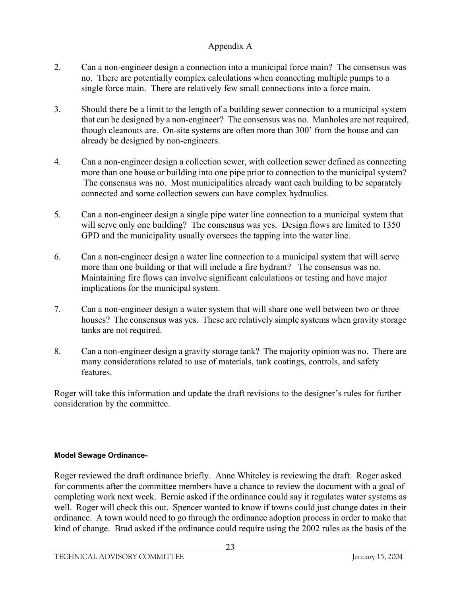- 2. Can a non-engineer design a connection into a municipal force main? The consensus was no. There are potentially complex calculations when connecting multiple pumps to a single force main. There are relatively few small connections into a force main.
- 3. Should there be a limit to the length of a building sewer connection to a municipal system that can be designed by a non-engineer? The consensus was no. Manholes are not required, though cleanouts are. On-site systems are often more than 300' from the house and can already be designed by non-engineers.
- 4. Can a non-engineer design a collection sewer, with collection sewer defined as connecting more than one house or building into one pipe prior to connection to the municipal system? The consensus was no. Most municipalities already want each building to be separately connected and some collection sewers can have complex hydraulics.
- 5. Can a non-engineer design a single pipe water line connection to a municipal system that will serve only one building? The consensus was yes. Design flows are limited to 1350 GPD and the municipality usually oversees the tapping into the water line.
- 6. Can a non-engineer design a water line connection to a municipal system that will serve more than one building or that will include a fire hydrant? The consensus was no. Maintaining fire flows can involve significant calculations or testing and have major implications for the municipal system.
- 7. Can a non-engineer design a water system that will share one well between two or three houses? The consensus was yes. These are relatively simple systems when gravity storage tanks are not required.
- 8. Can a non-engineer design a gravity storage tank? The majority opinion was no. There are many considerations related to use of materials, tank coatings, controls, and safety features.

Roger will take this information and update the draft revisions to the designer's rules for further consideration by the committee.

# **Model Sewage Ordinance-**

Roger reviewed the draft ordinance briefly. Anne Whiteley is reviewing the draft. Roger asked for comments after the committee members have a chance to review the document with a goal of completing work next week. Bernie asked if the ordinance could say it regulates water systems as well. Roger will check this out. Spencer wanted to know if towns could just change dates in their ordinance. A town would need to go through the ordinance adoption process in order to make that kind of change. Brad asked if the ordinance could require using the 2002 rules as the basis of the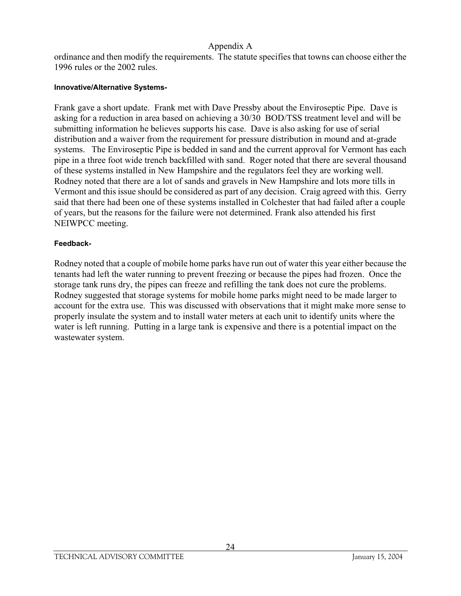ordinance and then modify the requirements. The statute specifies that towns can choose either the 1996 rules or the 2002 rules.

#### **Innovative/Alternative Systems-**

Frank gave a short update. Frank met with Dave Pressby about the Enviroseptic Pipe. Dave is asking for a reduction in area based on achieving a 30/30 BOD/TSS treatment level and will be submitting information he believes supports his case. Dave is also asking for use of serial distribution and a waiver from the requirement for pressure distribution in mound and at-grade systems. The Enviroseptic Pipe is bedded in sand and the current approval for Vermont has each pipe in a three foot wide trench backfilled with sand. Roger noted that there are several thousand of these systems installed in New Hampshire and the regulators feel they are working well. Rodney noted that there are a lot of sands and gravels in New Hampshire and lots more tills in Vermont and this issue should be considered as part of any decision. Craig agreed with this. Gerry said that there had been one of these systems installed in Colchester that had failed after a couple of years, but the reasons for the failure were not determined. Frank also attended his first NEIWPCC meeting.

#### **Feedback-**

Rodney noted that a couple of mobile home parks have run out of water this year either because the tenants had left the water running to prevent freezing or because the pipes had frozen. Once the storage tank runs dry, the pipes can freeze and refilling the tank does not cure the problems. Rodney suggested that storage systems for mobile home parks might need to be made larger to account for the extra use. This was discussed with observations that it might make more sense to properly insulate the system and to install water meters at each unit to identify units where the water is left running. Putting in a large tank is expensive and there is a potential impact on the wastewater system.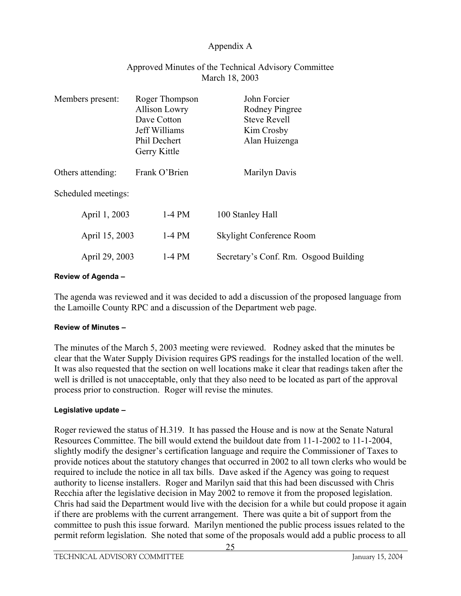| Members present:    | Roger Thompson<br><b>Allison Lowry</b><br>Dave Cotton<br>Jeff Williams<br>Phil Dechert<br>Gerry Kittle | John Forcier<br>Rodney Pingree<br><b>Steve Revell</b><br>Kim Crosby<br>Alan Huizenga |
|---------------------|--------------------------------------------------------------------------------------------------------|--------------------------------------------------------------------------------------|
| Others attending:   | Frank O'Brien                                                                                          | Marilyn Davis                                                                        |
| Scheduled meetings: |                                                                                                        |                                                                                      |
| April 1, 2003       | $1-4$ PM                                                                                               | 100 Stanley Hall                                                                     |
| April 15, 2003      | $1-4$ PM                                                                                               | Skylight Conference Room                                                             |
| April 29, 2003      | $1-4$ PM                                                                                               | Secretary's Conf. Rm. Osgood Building                                                |

## Approved Minutes of the Technical Advisory Committee March 18, 2003

#### **Review of Agenda –**

The agenda was reviewed and it was decided to add a discussion of the proposed language from the Lamoille County RPC and a discussion of the Department web page.

#### **Review of Minutes –**

The minutes of the March 5, 2003 meeting were reviewed. Rodney asked that the minutes be clear that the Water Supply Division requires GPS readings for the installed location of the well. It was also requested that the section on well locations make it clear that readings taken after the well is drilled is not unacceptable, only that they also need to be located as part of the approval process prior to construction. Roger will revise the minutes.

#### **Legislative update –**

Roger reviewed the status of H.319. It has passed the House and is now at the Senate Natural Resources Committee. The bill would extend the buildout date from 11-1-2002 to 11-1-2004, slightly modify the designer's certification language and require the Commissioner of Taxes to provide notices about the statutory changes that occurred in 2002 to all town clerks who would be required to include the notice in all tax bills. Dave asked if the Agency was going to request authority to license installers. Roger and Marilyn said that this had been discussed with Chris Recchia after the legislative decision in May 2002 to remove it from the proposed legislation. Chris had said the Department would live with the decision for a while but could propose it again if there are problems with the current arrangement. There was quite a bit of support from the committee to push this issue forward. Marilyn mentioned the public process issues related to the permit reform legislation. She noted that some of the proposals would add a public process to all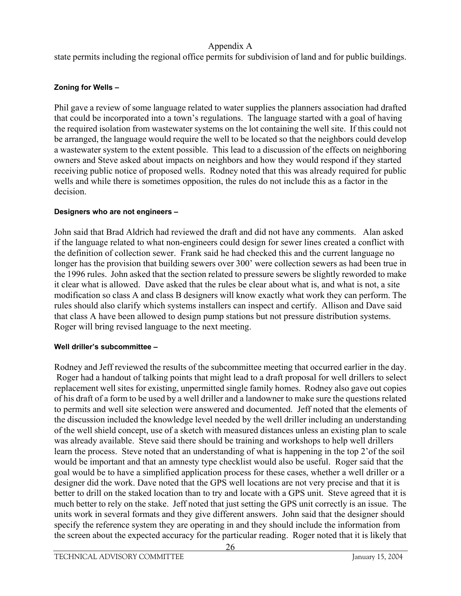state permits including the regional office permits for subdivision of land and for public buildings.

## **Zoning for Wells –**

Phil gave a review of some language related to water supplies the planners association had drafted that could be incorporated into a town's regulations. The language started with a goal of having the required isolation from wastewater systems on the lot containing the well site. If this could not be arranged, the language would require the well to be located so that the neighbors could develop a wastewater system to the extent possible. This lead to a discussion of the effects on neighboring owners and Steve asked about impacts on neighbors and how they would respond if they started receiving public notice of proposed wells. Rodney noted that this was already required for public wells and while there is sometimes opposition, the rules do not include this as a factor in the decision.

## **Designers who are not engineers –**

John said that Brad Aldrich had reviewed the draft and did not have any comments. Alan asked if the language related to what non-engineers could design for sewer lines created a conflict with the definition of collection sewer. Frank said he had checked this and the current language no longer has the provision that building sewers over 300' were collection sewers as had been true in the 1996 rules. John asked that the section related to pressure sewers be slightly reworded to make it clear what is allowed. Dave asked that the rules be clear about what is, and what is not, a site modification so class A and class B designers will know exactly what work they can perform. The rules should also clarify which systems installers can inspect and certify. Allison and Dave said that class A have been allowed to design pump stations but not pressure distribution systems. Roger will bring revised language to the next meeting.

## **Well driller's subcommittee –**

Rodney and Jeff reviewed the results of the subcommittee meeting that occurred earlier in the day. Roger had a handout of talking points that might lead to a draft proposal for well drillers to select replacement well sites for existing, unpermitted single family homes. Rodney also gave out copies of his draft of a form to be used by a well driller and a landowner to make sure the questions related to permits and well site selection were answered and documented. Jeff noted that the elements of the discussion included the knowledge level needed by the well driller including an understanding of the well shield concept, use of a sketch with measured distances unless an existing plan to scale was already available. Steve said there should be training and workshops to help well drillers learn the process. Steve noted that an understanding of what is happening in the top 2'of the soil would be important and that an amnesty type checklist would also be useful. Roger said that the goal would be to have a simplified application process for these cases, whether a well driller or a designer did the work. Dave noted that the GPS well locations are not very precise and that it is better to drill on the staked location than to try and locate with a GPS unit. Steve agreed that it is much better to rely on the stake. Jeff noted that just setting the GPS unit correctly is an issue. The units work in several formats and they give different answers. John said that the designer should specify the reference system they are operating in and they should include the information from the screen about the expected accuracy for the particular reading. Roger noted that it is likely that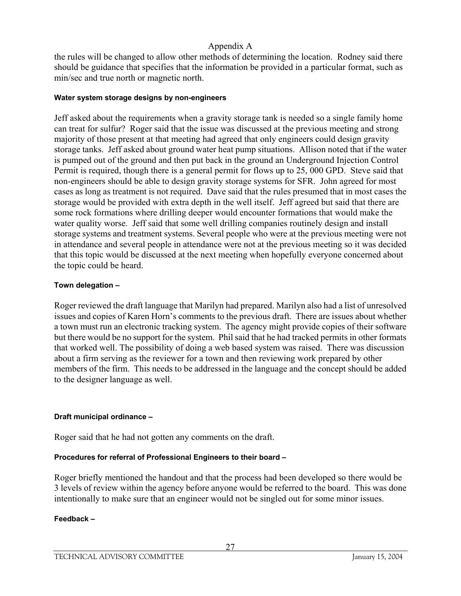the rules will be changed to allow other methods of determining the location. Rodney said there should be guidance that specifies that the information be provided in a particular format, such as min/sec and true north or magnetic north.

#### **Water system storage designs by non-engineers**

Jeff asked about the requirements when a gravity storage tank is needed so a single family home can treat for sulfur? Roger said that the issue was discussed at the previous meeting and strong majority of those present at that meeting had agreed that only engineers could design gravity storage tanks. Jeff asked about ground water heat pump situations. Allison noted that if the water is pumped out of the ground and then put back in the ground an Underground Injection Control Permit is required, though there is a general permit for flows up to 25, 000 GPD. Steve said that non-engineers should be able to design gravity storage systems for SFR. John agreed for most cases as long as treatment is not required. Dave said that the rules presumed that in most cases the storage would be provided with extra depth in the well itself. Jeff agreed but said that there are some rock formations where drilling deeper would encounter formations that would make the water quality worse. Jeff said that some well drilling companies routinely design and install storage systems and treatment systems. Several people who were at the previous meeting were not in attendance and several people in attendance were not at the previous meeting so it was decided that this topic would be discussed at the next meeting when hopefully everyone concerned about the topic could be heard.

#### **Town delegation –**

Roger reviewed the draft language that Marilyn had prepared. Marilyn also had a list of unresolved issues and copies of Karen Horn's comments to the previous draft. There are issues about whether a town must run an electronic tracking system. The agency might provide copies of their software but there would be no support for the system. Phil said that he had tracked permits in other formats that worked well. The possibility of doing a web based system was raised. There was discussion about a firm serving as the reviewer for a town and then reviewing work prepared by other members of the firm. This needs to be addressed in the language and the concept should be added to the designer language as well.

#### **Draft municipal ordinance –**

Roger said that he had not gotten any comments on the draft.

#### **Procedures for referral of Professional Engineers to their board –**

Roger briefly mentioned the handout and that the process had been developed so there would be 3 levels of review within the agency before anyone would be referred to the board. This was done intentionally to make sure that an engineer would not be singled out for some minor issues.

#### **Feedback –**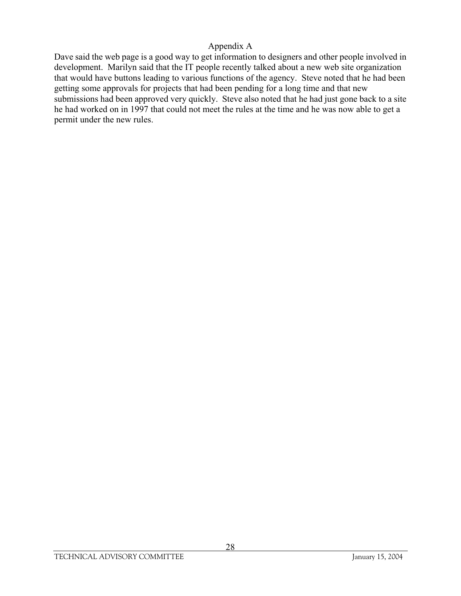Dave said the web page is a good way to get information to designers and other people involved in development. Marilyn said that the IT people recently talked about a new web site organization that would have buttons leading to various functions of the agency. Steve noted that he had been getting some approvals for projects that had been pending for a long time and that new submissions had been approved very quickly. Steve also noted that he had just gone back to a site he had worked on in 1997 that could not meet the rules at the time and he was now able to get a permit under the new rules.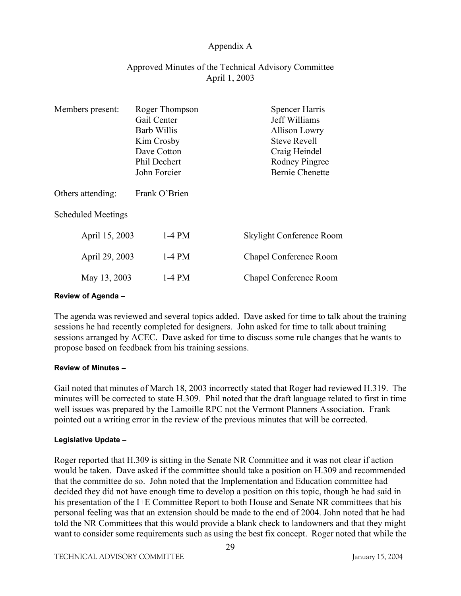## Approved Minutes of the Technical Advisory Committee April 1, 2003

| Gail Center<br><b>Barb Willis</b> | Jeff Williams<br><b>Allison Lowry</b> |
|-----------------------------------|---------------------------------------|
|                                   |                                       |
|                                   |                                       |
|                                   | <b>Steve Revell</b>                   |
| Dave Cotton                       | Craig Heindel                         |
| Phil Dechert                      | Rodney Pingree                        |
| John Forcier                      | <b>Bernie Chenette</b>                |
| Frank O'Brien                     |                                       |
|                                   |                                       |
| $1-4$ PM                          | Skylight Conference Room              |
| 1-4 PM                            | Chapel Conference Room                |
| $1-4$ PM                          | Chapel Conference Room                |
|                                   | Kim Crosby                            |

#### **Review of Agenda –**

The agenda was reviewed and several topics added. Dave asked for time to talk about the training sessions he had recently completed for designers. John asked for time to talk about training sessions arranged by ACEC. Dave asked for time to discuss some rule changes that he wants to propose based on feedback from his training sessions.

#### **Review of Minutes –**

Gail noted that minutes of March 18, 2003 incorrectly stated that Roger had reviewed H.319. The minutes will be corrected to state H.309. Phil noted that the draft language related to first in time well issues was prepared by the Lamoille RPC not the Vermont Planners Association. Frank pointed out a writing error in the review of the previous minutes that will be corrected.

#### **Legislative Update –**

Roger reported that H.309 is sitting in the Senate NR Committee and it was not clear if action would be taken. Dave asked if the committee should take a position on H.309 and recommended that the committee do so. John noted that the Implementation and Education committee had decided they did not have enough time to develop a position on this topic, though he had said in his presentation of the I+E Committee Report to both House and Senate NR committees that his personal feeling was that an extension should be made to the end of 2004. John noted that he had told the NR Committees that this would provide a blank check to landowners and that they might want to consider some requirements such as using the best fix concept. Roger noted that while the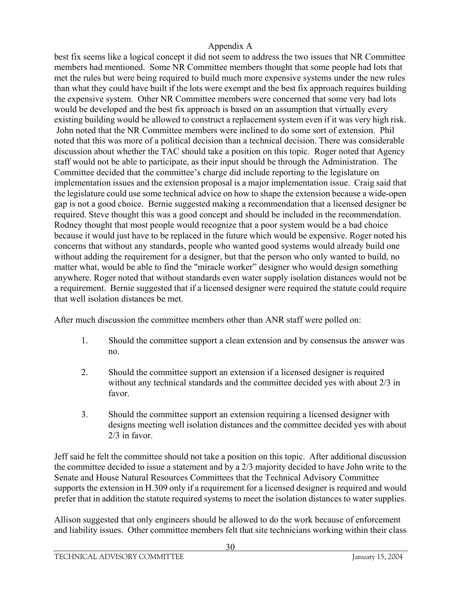best fix seems like a logical concept it did not seem to address the two issues that NR Committee members had mentioned. Some NR Committee members thought that some people had lots that met the rules but were being required to build much more expensive systems under the new rules than what they could have built if the lots were exempt and the best fix approach requires building the expensive system. Other NR Committee members were concerned that some very bad lots would be developed and the best fix approach is based on an assumption that virtually every existing building would be allowed to construct a replacement system even if it was very high risk. John noted that the NR Committee members were inclined to do some sort of extension. Phil noted that this was more of a political decision than a technical decision. There was considerable discussion about whether the TAC should take a position on this topic. Roger noted that Agency staff would not be able to participate, as their input should be through the Administration. The Committee decided that the committee's charge did include reporting to the legislature on implementation issues and the extension proposal is a major implementation issue. Craig said that the legislature could use some technical advice on how to shape the extension because a wide-open gap is not a good choice. Bernie suggested making a recommendation that a licensed designer be required. Steve thought this was a good concept and should be included in the recommendation. Rodney thought that most people would recognize that a poor system would be a bad choice because it would just have to be replaced in the future which would be expensive. Roger noted his concerns that without any standards, people who wanted good systems would already build one without adding the requirement for a designer, but that the person who only wanted to build, no matter what, would be able to find the "miracle worker" designer who would design something anywhere. Roger noted that without standards even water supply isolation distances would not be a requirement. Bernie suggested that if a licensed designer were required the statute could require that well isolation distances be met.

After much discussion the committee members other than ANR staff were polled on:

- 1. Should the committee support a clean extension and by consensus the answer was no.
- 2. Should the committee support an extension if a licensed designer is required without any technical standards and the committee decided yes with about 2/3 in favor.
- 3. Should the committee support an extension requiring a licensed designer with designs meeting well isolation distances and the committee decided yes with about 2/3 in favor.

Jeff said he felt the committee should not take a position on this topic. After additional discussion the committee decided to issue a statement and by a 2/3 majority decided to have John write to the Senate and House Natural Resources Committees that the Technical Advisory Committee supports the extension in H.309 only if a requirement for a licensed designer is required and would prefer that in addition the statute required systems to meet the isolation distances to water supplies.

Allison suggested that only engineers should be allowed to do the work because of enforcement and liability issues. Other committee members felt that site technicians working within their class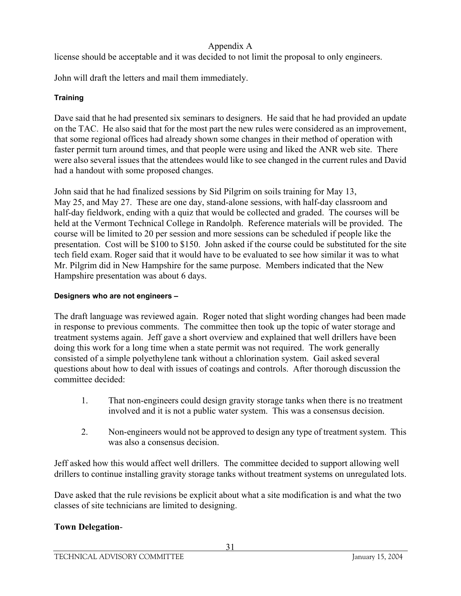license should be acceptable and it was decided to not limit the proposal to only engineers.

John will draft the letters and mail them immediately.

# **Training**

Dave said that he had presented six seminars to designers. He said that he had provided an update on the TAC. He also said that for the most part the new rules were considered as an improvement, that some regional offices had already shown some changes in their method of operation with faster permit turn around times, and that people were using and liked the ANR web site. There were also several issues that the attendees would like to see changed in the current rules and David had a handout with some proposed changes.

John said that he had finalized sessions by Sid Pilgrim on soils training for May 13, May 25, and May 27. These are one day, stand-alone sessions, with half-day classroom and half-day fieldwork, ending with a quiz that would be collected and graded. The courses will be held at the Vermont Technical College in Randolph. Reference materials will be provided. The course will be limited to 20 per session and more sessions can be scheduled if people like the presentation. Cost will be \$100 to \$150. John asked if the course could be substituted for the site tech field exam. Roger said that it would have to be evaluated to see how similar it was to what Mr. Pilgrim did in New Hampshire for the same purpose. Members indicated that the New Hampshire presentation was about 6 days.

## **Designers who are not engineers –**

The draft language was reviewed again. Roger noted that slight wording changes had been made in response to previous comments. The committee then took up the topic of water storage and treatment systems again. Jeff gave a short overview and explained that well drillers have been doing this work for a long time when a state permit was not required. The work generally consisted of a simple polyethylene tank without a chlorination system. Gail asked several questions about how to deal with issues of coatings and controls. After thorough discussion the committee decided:

- 1. That non-engineers could design gravity storage tanks when there is no treatment involved and it is not a public water system. This was a consensus decision.
- 2. Non-engineers would not be approved to design any type of treatment system. This was also a consensus decision.

Jeff asked how this would affect well drillers. The committee decided to support allowing well drillers to continue installing gravity storage tanks without treatment systems on unregulated lots.

Dave asked that the rule revisions be explicit about what a site modification is and what the two classes of site technicians are limited to designing.

# **Town Delegation**-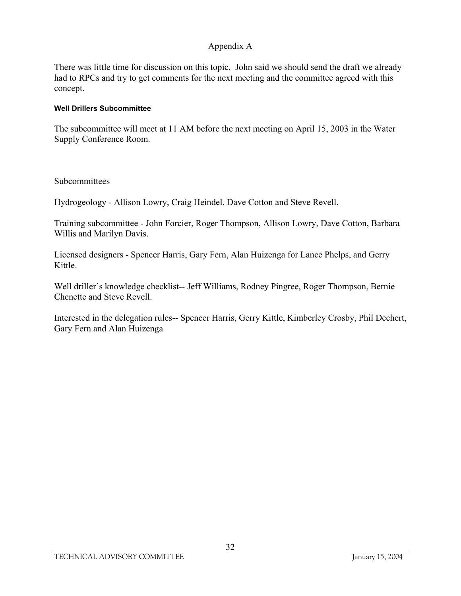There was little time for discussion on this topic. John said we should send the draft we already had to RPCs and try to get comments for the next meeting and the committee agreed with this concept.

#### **Well Drillers Subcommittee**

The subcommittee will meet at 11 AM before the next meeting on April 15, 2003 in the Water Supply Conference Room.

Subcommittees

Hydrogeology - Allison Lowry, Craig Heindel, Dave Cotton and Steve Revell.

Training subcommittee - John Forcier, Roger Thompson, Allison Lowry, Dave Cotton, Barbara Willis and Marilyn Davis.

Licensed designers - Spencer Harris, Gary Fern, Alan Huizenga for Lance Phelps, and Gerry Kittle.

Well driller's knowledge checklist-- Jeff Williams, Rodney Pingree, Roger Thompson, Bernie Chenette and Steve Revell.

Interested in the delegation rules-- Spencer Harris, Gerry Kittle, Kimberley Crosby, Phil Dechert, Gary Fern and Alan Huizenga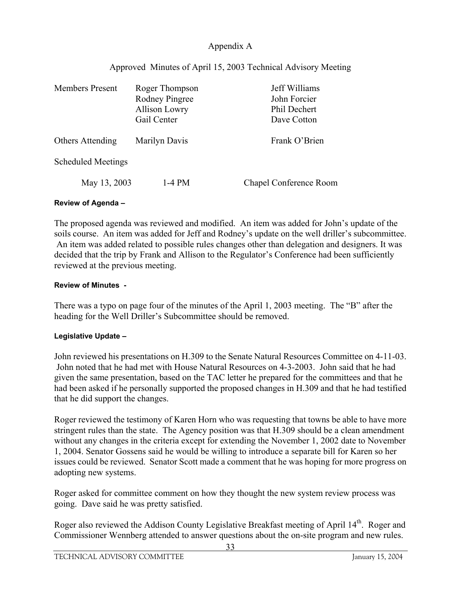|  |  | Approved Minutes of April 15, 2003 Technical Advisory Meeting |  |  |  |  |
|--|--|---------------------------------------------------------------|--|--|--|--|
|--|--|---------------------------------------------------------------|--|--|--|--|

| <b>Members Present</b>    | Roger Thompson<br>Rodney Pingree<br><b>Allison Lowry</b><br>Gail Center | Jeff Williams<br>John Forcier<br>Phil Dechert<br>Dave Cotton |
|---------------------------|-------------------------------------------------------------------------|--------------------------------------------------------------|
| Others Attending          | <b>Marilyn Davis</b>                                                    | Frank O'Brien                                                |
| <b>Scheduled Meetings</b> |                                                                         |                                                              |
| May 13, 2003              | 1-4 PM                                                                  | Chapel Conference Room                                       |

#### **Review of Agenda –**

The proposed agenda was reviewed and modified. An item was added for John's update of the soils course. An item was added for Jeff and Rodney's update on the well driller's subcommittee. An item was added related to possible rules changes other than delegation and designers. It was decided that the trip by Frank and Allison to the Regulator's Conference had been sufficiently reviewed at the previous meeting.

#### **Review of Minutes -**

There was a typo on page four of the minutes of the April 1, 2003 meeting. The "B" after the heading for the Well Driller's Subcommittee should be removed.

#### **Legislative Update –**

John reviewed his presentations on H.309 to the Senate Natural Resources Committee on 4-11-03. John noted that he had met with House Natural Resources on 4-3-2003. John said that he had given the same presentation, based on the TAC letter he prepared for the committees and that he had been asked if he personally supported the proposed changes in H.309 and that he had testified that he did support the changes.

Roger reviewed the testimony of Karen Horn who was requesting that towns be able to have more stringent rules than the state. The Agency position was that H.309 should be a clean amendment without any changes in the criteria except for extending the November 1, 2002 date to November 1, 2004. Senator Gossens said he would be willing to introduce a separate bill for Karen so her issues could be reviewed. Senator Scott made a comment that he was hoping for more progress on adopting new systems.

Roger asked for committee comment on how they thought the new system review process was going. Dave said he was pretty satisfied.

Roger also reviewed the Addison County Legislative Breakfast meeting of April 14<sup>th</sup>. Roger and Commissioner Wennberg attended to answer questions about the on-site program and new rules.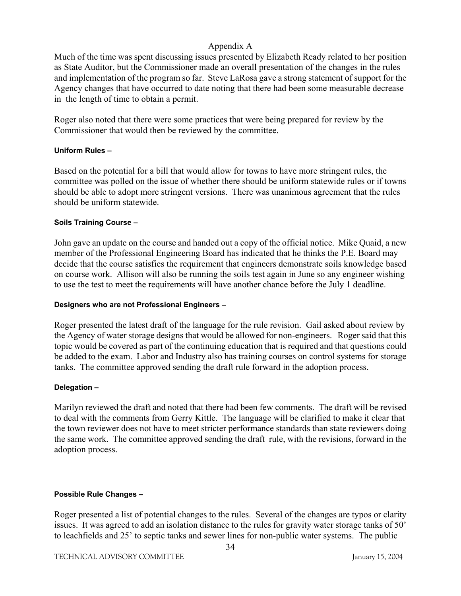Much of the time was spent discussing issues presented by Elizabeth Ready related to her position as State Auditor, but the Commissioner made an overall presentation of the changes in the rules and implementation of the program so far. Steve LaRosa gave a strong statement of support for the Agency changes that have occurred to date noting that there had been some measurable decrease in the length of time to obtain a permit.

Roger also noted that there were some practices that were being prepared for review by the Commissioner that would then be reviewed by the committee.

#### **Uniform Rules –**

Based on the potential for a bill that would allow for towns to have more stringent rules, the committee was polled on the issue of whether there should be uniform statewide rules or if towns should be able to adopt more stringent versions. There was unanimous agreement that the rules should be uniform statewide.

### **Soils Training Course –**

John gave an update on the course and handed out a copy of the official notice. Mike Quaid, a new member of the Professional Engineering Board has indicated that he thinks the P.E. Board may decide that the course satisfies the requirement that engineers demonstrate soils knowledge based on course work. Allison will also be running the soils test again in June so any engineer wishing to use the test to meet the requirements will have another chance before the July 1 deadline.

### **Designers who are not Professional Engineers –**

Roger presented the latest draft of the language for the rule revision. Gail asked about review by the Agency of water storage designs that would be allowed for non-engineers. Roger said that this topic would be covered as part of the continuing education that is required and that questions could be added to the exam. Labor and Industry also has training courses on control systems for storage tanks. The committee approved sending the draft rule forward in the adoption process.

### **Delegation –**

Marilyn reviewed the draft and noted that there had been few comments. The draft will be revised to deal with the comments from Gerry Kittle. The language will be clarified to make it clear that the town reviewer does not have to meet stricter performance standards than state reviewers doing the same work. The committee approved sending the draft rule, with the revisions, forward in the adoption process.

### **Possible Rule Changes –**

Roger presented a list of potential changes to the rules. Several of the changes are typos or clarity issues. It was agreed to add an isolation distance to the rules for gravity water storage tanks of 50' to leachfields and 25' to septic tanks and sewer lines for non-public water systems. The public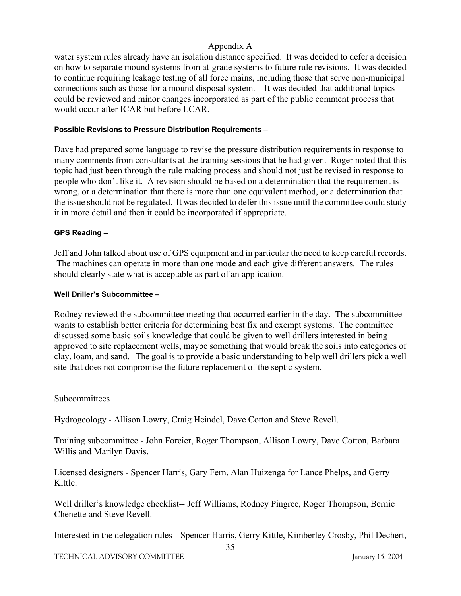water system rules already have an isolation distance specified. It was decided to defer a decision on how to separate mound systems from at-grade systems to future rule revisions. It was decided to continue requiring leakage testing of all force mains, including those that serve non-municipal connections such as those for a mound disposal system. It was decided that additional topics could be reviewed and minor changes incorporated as part of the public comment process that would occur after ICAR but before LCAR.

#### **Possible Revisions to Pressure Distribution Requirements –**

Dave had prepared some language to revise the pressure distribution requirements in response to many comments from consultants at the training sessions that he had given. Roger noted that this topic had just been through the rule making process and should not just be revised in response to people who don't like it. A revision should be based on a determination that the requirement is wrong, or a determination that there is more than one equivalent method, or a determination that the issue should not be regulated. It was decided to defer this issue until the committee could study it in more detail and then it could be incorporated if appropriate.

#### **GPS Reading –**

Jeff and John talked about use of GPS equipment and in particular the need to keep careful records. The machines can operate in more than one mode and each give different answers. The rules should clearly state what is acceptable as part of an application.

#### **Well Driller's Subcommittee –**

Rodney reviewed the subcommittee meeting that occurred earlier in the day. The subcommittee wants to establish better criteria for determining best fix and exempt systems. The committee discussed some basic soils knowledge that could be given to well drillers interested in being approved to site replacement wells, maybe something that would break the soils into categories of clay, loam, and sand. The goal is to provide a basic understanding to help well drillers pick a well site that does not compromise the future replacement of the septic system.

#### Subcommittees

Hydrogeology - Allison Lowry, Craig Heindel, Dave Cotton and Steve Revell.

Training subcommittee - John Forcier, Roger Thompson, Allison Lowry, Dave Cotton, Barbara Willis and Marilyn Davis.

Licensed designers - Spencer Harris, Gary Fern, Alan Huizenga for Lance Phelps, and Gerry Kittle.

Well driller's knowledge checklist-- Jeff Williams, Rodney Pingree, Roger Thompson, Bernie Chenette and Steve Revell.

Interested in the delegation rules-- Spencer Harris, Gerry Kittle, Kimberley Crosby, Phil Dechert,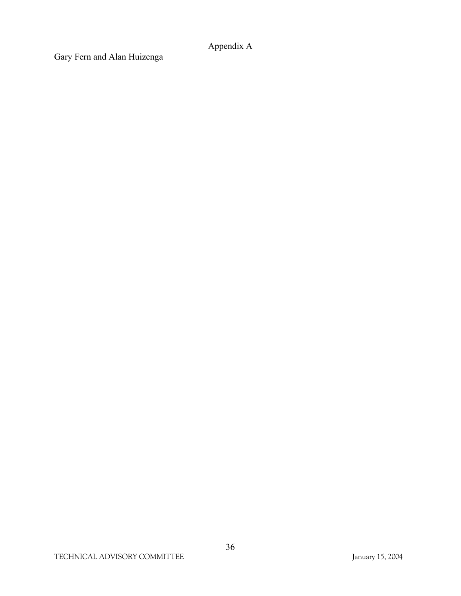Gary Fern and Alan Huizenga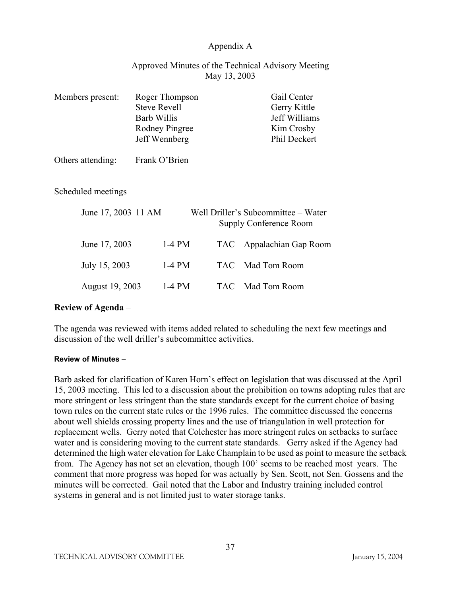### Approved Minutes of the Technical Advisory Meeting May 13, 2003

| Members present:    | Roger Thompson<br><b>Steve Revell</b><br><b>Barb Willis</b><br><b>Rodney Pingree</b><br>Jeff Wennberg |            | Gail Center<br>Gerry Kittle<br>Jeff Williams<br>Kim Crosby<br>Phil Deckert |
|---------------------|-------------------------------------------------------------------------------------------------------|------------|----------------------------------------------------------------------------|
| Others attending:   | Frank O'Brien                                                                                         |            |                                                                            |
| Scheduled meetings  |                                                                                                       |            |                                                                            |
| June 17, 2003 11 AM |                                                                                                       |            | Well Driller's Subcommittee – Water<br><b>Supply Conference Room</b>       |
| June 17, 2003       | $1-4$ PM                                                                                              | TAC.       | Appalachian Gap Room                                                       |
| July 15, 2003       | $1-4$ PM                                                                                              | <b>TAC</b> | Mad Tom Room                                                               |
| August 19, 2003     | $1-4$ PM                                                                                              | TAC.       | Mad Tom Room                                                               |

#### **Review of Agenda** –

The agenda was reviewed with items added related to scheduling the next few meetings and discussion of the well driller's subcommittee activities.

#### **Review of Minutes** –

Barb asked for clarification of Karen Horn's effect on legislation that was discussed at the April 15, 2003 meeting. This led to a discussion about the prohibition on towns adopting rules that are more stringent or less stringent than the state standards except for the current choice of basing town rules on the current state rules or the 1996 rules. The committee discussed the concerns about well shields crossing property lines and the use of triangulation in well protection for replacement wells. Gerry noted that Colchester has more stringent rules on setbacks to surface water and is considering moving to the current state standards. Gerry asked if the Agency had determined the high water elevation for Lake Champlain to be used as point to measure the setback from. The Agency has not set an elevation, though 100' seems to be reached most years. The comment that more progress was hoped for was actually by Sen. Scott, not Sen. Gossens and the minutes will be corrected. Gail noted that the Labor and Industry training included control systems in general and is not limited just to water storage tanks.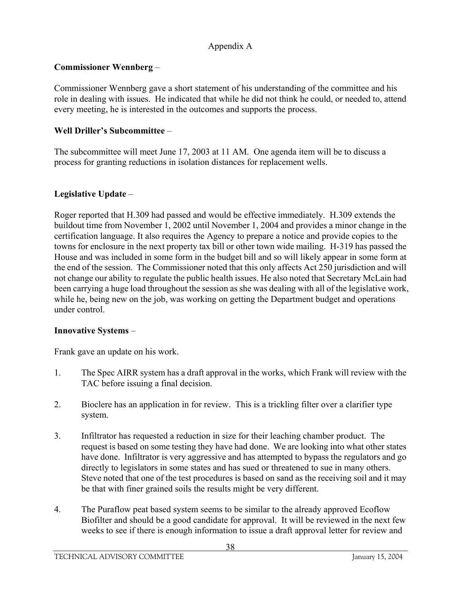# **Commissioner Wennberg** –

Commissioner Wennberg gave a short statement of his understanding of the committee and his role in dealing with issues. He indicated that while he did not think he could, or needed to, attend every meeting, he is interested in the outcomes and supports the process.

# **Well Driller's Subcommittee** –

The subcommittee will meet June 17, 2003 at 11 AM. One agenda item will be to discuss a process for granting reductions in isolation distances for replacement wells.

# **Legislative Update** –

Roger reported that H.309 had passed and would be effective immediately. H.309 extends the buildout time from November 1, 2002 until November 1, 2004 and provides a minor change in the certification language. It also requires the Agency to prepare a notice and provide copies to the towns for enclosure in the next property tax bill or other town wide mailing. H-319 has passed the House and was included in some form in the budget bill and so will likely appear in some form at the end of the session. The Commissioner noted that this only affects Act 250 jurisdiction and will not change our ability to regulate the public health issues. He also noted that Secretary McLain had been carrying a huge load throughout the session as she was dealing with all of the legislative work, while he, being new on the job, was working on getting the Department budget and operations under control.

### **Innovative Systems** –

Frank gave an update on his work.

- 1. The Spec AIRR system has a draft approval in the works, which Frank will review with the TAC before issuing a final decision.
- 2. Bioclere has an application in for review. This is a trickling filter over a clarifier type system.
- 3. Infiltrator has requested a reduction in size for their leaching chamber product. The request is based on some testing they have had done. We are looking into what other states have done. Infiltrator is very aggressive and has attempted to bypass the regulators and go directly to legislators in some states and has sued or threatened to sue in many others. Steve noted that one of the test procedures is based on sand as the receiving soil and it may be that with finer grained soils the results might be very different.
- 4. The Puraflow peat based system seems to be similar to the already approved Ecoflow Biofilter and should be a good candidate for approval. It will be reviewed in the next few weeks to see if there is enough information to issue a draft approval letter for review and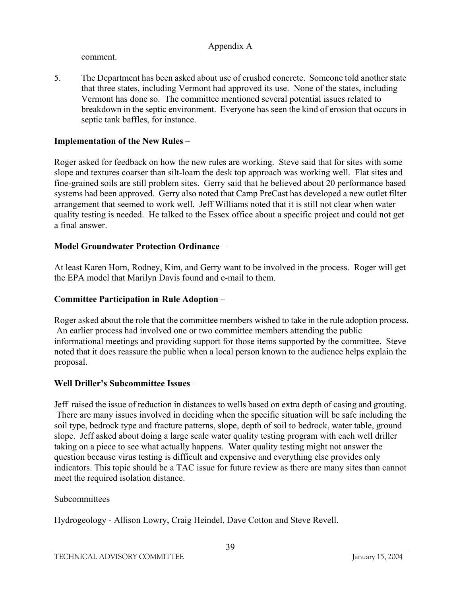comment.

5. The Department has been asked about use of crushed concrete. Someone told another state that three states, including Vermont had approved its use. None of the states, including Vermont has done so. The committee mentioned several potential issues related to breakdown in the septic environment. Everyone has seen the kind of erosion that occurs in septic tank baffles, for instance.

# **Implementation of the New Rules** –

Roger asked for feedback on how the new rules are working. Steve said that for sites with some slope and textures coarser than silt-loam the desk top approach was working well. Flat sites and fine-grained soils are still problem sites. Gerry said that he believed about 20 performance based systems had been approved. Gerry also noted that Camp PreCast has developed a new outlet filter arrangement that seemed to work well. Jeff Williams noted that it is still not clear when water quality testing is needed. He talked to the Essex office about a specific project and could not get a final answer.

# **Model Groundwater Protection Ordinance** –

At least Karen Horn, Rodney, Kim, and Gerry want to be involved in the process. Roger will get the EPA model that Marilyn Davis found and e-mail to them.

### **Committee Participation in Rule Adoption** –

Roger asked about the role that the committee members wished to take in the rule adoption process. An earlier process had involved one or two committee members attending the public informational meetings and providing support for those items supported by the committee. Steve noted that it does reassure the public when a local person known to the audience helps explain the proposal.

# **Well Driller's Subcommittee Issues** –

Jeff raised the issue of reduction in distances to wells based on extra depth of casing and grouting. There are many issues involved in deciding when the specific situation will be safe including the soil type, bedrock type and fracture patterns, slope, depth of soil to bedrock, water table, ground slope. Jeff asked about doing a large scale water quality testing program with each well driller taking on a piece to see what actually happens. Water quality testing might not answer the question because virus testing is difficult and expensive and everything else provides only indicators. This topic should be a TAC issue for future review as there are many sites than cannot meet the required isolation distance.

### Subcommittees

Hydrogeology - Allison Lowry, Craig Heindel, Dave Cotton and Steve Revell.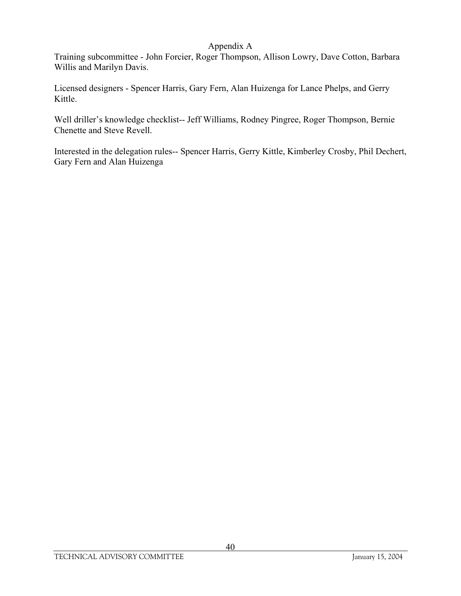Training subcommittee - John Forcier, Roger Thompson, Allison Lowry, Dave Cotton, Barbara Willis and Marilyn Davis.

Licensed designers - Spencer Harris, Gary Fern, Alan Huizenga for Lance Phelps, and Gerry Kittle.

Well driller's knowledge checklist-- Jeff Williams, Rodney Pingree, Roger Thompson, Bernie Chenette and Steve Revell.

Interested in the delegation rules-- Spencer Harris, Gerry Kittle, Kimberley Crosby, Phil Dechert, Gary Fern and Alan Huizenga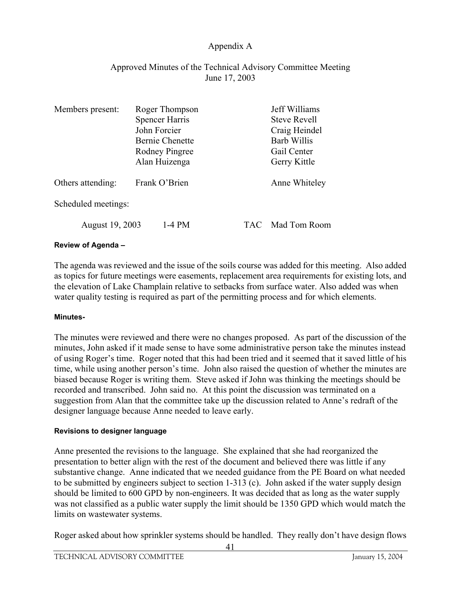### Approved Minutes of the Technical Advisory Committee Meeting June 17, 2003

| Members present:    | Roger Thompson |                       | Jeff Williams |                     |
|---------------------|----------------|-----------------------|---------------|---------------------|
|                     |                | <b>Spencer Harris</b> |               | <b>Steve Revell</b> |
|                     |                | John Forcier          |               | Craig Heindel       |
|                     |                | Bernie Chenette       |               | <b>Barb Willis</b>  |
|                     |                | Rodney Pingree        |               | Gail Center         |
|                     |                | Alan Huizenga         |               | Gerry Kittle        |
| Others attending:   | Frank O'Brien  |                       | Anne Whiteley |                     |
| Scheduled meetings: |                |                       |               |                     |
| August 19, 2003     |                | $1-4$ PM              | TAC.          | Mad Tom Room        |

#### **Review of Agenda –**

The agenda was reviewed and the issue of the soils course was added for this meeting. Also added as topics for future meetings were easements, replacement area requirements for existing lots, and the elevation of Lake Champlain relative to setbacks from surface water. Also added was when water quality testing is required as part of the permitting process and for which elements.

#### **Minutes-**

The minutes were reviewed and there were no changes proposed. As part of the discussion of the minutes, John asked if it made sense to have some administrative person take the minutes instead of using Roger's time. Roger noted that this had been tried and it seemed that it saved little of his time, while using another person's time. John also raised the question of whether the minutes are biased because Roger is writing them. Steve asked if John was thinking the meetings should be recorded and transcribed. John said no. At this point the discussion was terminated on a suggestion from Alan that the committee take up the discussion related to Anne's redraft of the designer language because Anne needed to leave early.

#### **Revisions to designer language**

Anne presented the revisions to the language. She explained that she had reorganized the presentation to better align with the rest of the document and believed there was little if any substantive change. Anne indicated that we needed guidance from the PE Board on what needed to be submitted by engineers subject to section 1-313 (c). John asked if the water supply design should be limited to 600 GPD by non-engineers. It was decided that as long as the water supply was not classified as a public water supply the limit should be 1350 GPD which would match the limits on wastewater systems.

Roger asked about how sprinkler systems should be handled. They really don't have design flows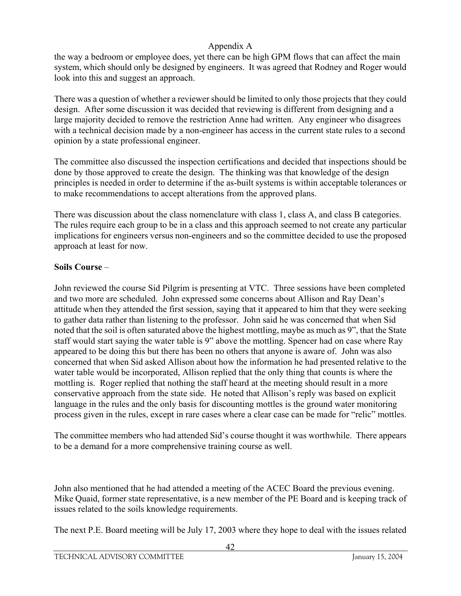the way a bedroom or employee does, yet there can be high GPM flows that can affect the main system, which should only be designed by engineers. It was agreed that Rodney and Roger would look into this and suggest an approach.

There was a question of whether a reviewer should be limited to only those projects that they could design. After some discussion it was decided that reviewing is different from designing and a large majority decided to remove the restriction Anne had written. Any engineer who disagrees with a technical decision made by a non-engineer has access in the current state rules to a second opinion by a state professional engineer.

The committee also discussed the inspection certifications and decided that inspections should be done by those approved to create the design. The thinking was that knowledge of the design principles is needed in order to determine if the as-built systems is within acceptable tolerances or to make recommendations to accept alterations from the approved plans.

There was discussion about the class nomenclature with class 1, class A, and class B categories. The rules require each group to be in a class and this approach seemed to not create any particular implications for engineers versus non-engineers and so the committee decided to use the proposed approach at least for now.

# **Soils Course** –

John reviewed the course Sid Pilgrim is presenting at VTC. Three sessions have been completed and two more are scheduled. John expressed some concerns about Allison and Ray Dean's attitude when they attended the first session, saying that it appeared to him that they were seeking to gather data rather than listening to the professor. John said he was concerned that when Sid noted that the soil is often saturated above the highest mottling, maybe as much as 9", that the State staff would start saying the water table is 9" above the mottling. Spencer had on case where Ray appeared to be doing this but there has been no others that anyone is aware of. John was also concerned that when Sid asked Allison about how the information he had presented relative to the water table would be incorporated, Allison replied that the only thing that counts is where the mottling is. Roger replied that nothing the staff heard at the meeting should result in a more conservative approach from the state side. He noted that Allison's reply was based on explicit language in the rules and the only basis for discounting mottles is the ground water monitoring process given in the rules, except in rare cases where a clear case can be made for "relic" mottles.

The committee members who had attended Sid's course thought it was worthwhile. There appears to be a demand for a more comprehensive training course as well.

John also mentioned that he had attended a meeting of the ACEC Board the previous evening. Mike Quaid, former state representative, is a new member of the PE Board and is keeping track of issues related to the soils knowledge requirements.

The next P.E. Board meeting will be July 17, 2003 where they hope to deal with the issues related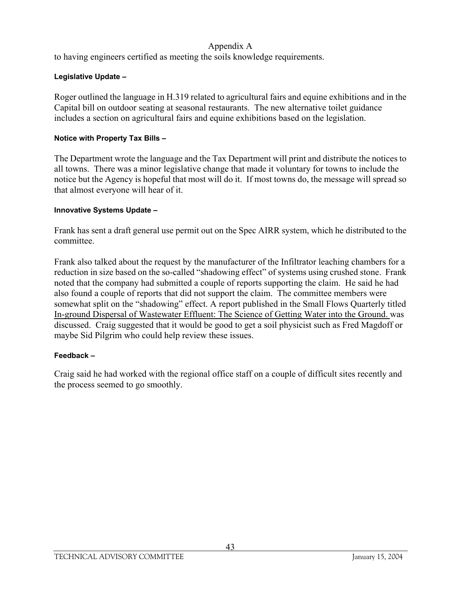to having engineers certified as meeting the soils knowledge requirements.

### **Legislative Update –**

Roger outlined the language in H.319 related to agricultural fairs and equine exhibitions and in the Capital bill on outdoor seating at seasonal restaurants. The new alternative toilet guidance includes a section on agricultural fairs and equine exhibitions based on the legislation.

#### **Notice with Property Tax Bills –**

The Department wrote the language and the Tax Department will print and distribute the notices to all towns. There was a minor legislative change that made it voluntary for towns to include the notice but the Agency is hopeful that most will do it. If most towns do, the message will spread so that almost everyone will hear of it.

#### **Innovative Systems Update –**

Frank has sent a draft general use permit out on the Spec AIRR system, which he distributed to the committee.

Frank also talked about the request by the manufacturer of the Infiltrator leaching chambers for a reduction in size based on the so-called "shadowing effect" of systems using crushed stone. Frank noted that the company had submitted a couple of reports supporting the claim. He said he had also found a couple of reports that did not support the claim. The committee members were somewhat split on the "shadowing" effect. A report published in the Small Flows Quarterly titled In-ground Dispersal of Wastewater Effluent: The Science of Getting Water into the Ground. was discussed. Craig suggested that it would be good to get a soil physicist such as Fred Magdoff or maybe Sid Pilgrim who could help review these issues.

#### **Feedback –**

Craig said he had worked with the regional office staff on a couple of difficult sites recently and the process seemed to go smoothly.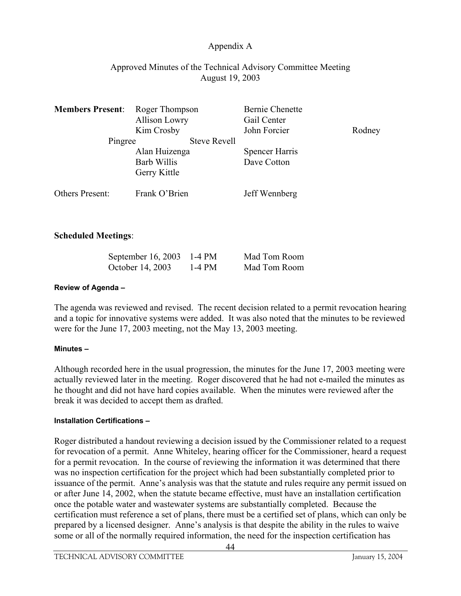### Approved Minutes of the Technical Advisory Committee Meeting August 19, 2003

| <b>Members Present:</b> | Roger Thompson<br><b>Allison Lowry</b><br>Kim Crosby | <b>Bernie Chenette</b><br>Gail Center<br>John Forcier | Rodney |
|-------------------------|------------------------------------------------------|-------------------------------------------------------|--------|
| Pingree                 | <b>Steve Revell</b>                                  |                                                       |        |
|                         | Alan Huizenga<br><b>Barb Willis</b><br>Gerry Kittle  | <b>Spencer Harris</b><br>Dave Cotton                  |        |
| Others Present:         | Frank O'Brien                                        | Jeff Wennberg                                         |        |

### **Scheduled Meetings**:

| September 16, 2003 1-4 PM |        | Mad Tom Room |
|---------------------------|--------|--------------|
| October 14, 2003          | 1-4 PM | Mad Tom Room |

#### **Review of Agenda –**

The agenda was reviewed and revised. The recent decision related to a permit revocation hearing and a topic for innovative systems were added. It was also noted that the minutes to be reviewed were for the June 17, 2003 meeting, not the May 13, 2003 meeting.

#### **Minutes –**

Although recorded here in the usual progression, the minutes for the June 17, 2003 meeting were actually reviewed later in the meeting. Roger discovered that he had not e-mailed the minutes as he thought and did not have hard copies available. When the minutes were reviewed after the break it was decided to accept them as drafted.

#### **Installation Certifications –**

Roger distributed a handout reviewing a decision issued by the Commissioner related to a request for revocation of a permit. Anne Whiteley, hearing officer for the Commissioner, heard a request for a permit revocation. In the course of reviewing the information it was determined that there was no inspection certification for the project which had been substantially completed prior to issuance of the permit. Anne's analysis was that the statute and rules require any permit issued on or after June 14, 2002, when the statute became effective, must have an installation certification once the potable water and wastewater systems are substantially completed. Because the certification must reference a set of plans, there must be a certified set of plans, which can only be prepared by a licensed designer. Anne's analysis is that despite the ability in the rules to waive some or all of the normally required information, the need for the inspection certification has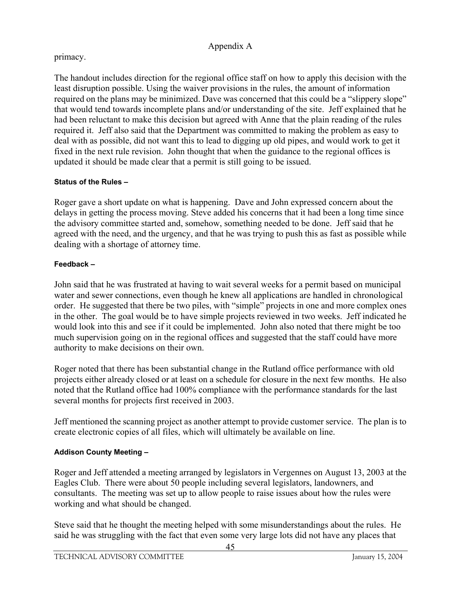# primacy.

The handout includes direction for the regional office staff on how to apply this decision with the least disruption possible. Using the waiver provisions in the rules, the amount of information required on the plans may be minimized. Dave was concerned that this could be a "slippery slope" that would tend towards incomplete plans and/or understanding of the site. Jeff explained that he had been reluctant to make this decision but agreed with Anne that the plain reading of the rules required it. Jeff also said that the Department was committed to making the problem as easy to deal with as possible, did not want this to lead to digging up old pipes, and would work to get it fixed in the next rule revision. John thought that when the guidance to the regional offices is updated it should be made clear that a permit is still going to be issued.

### **Status of the Rules –**

Roger gave a short update on what is happening. Dave and John expressed concern about the delays in getting the process moving. Steve added his concerns that it had been a long time since the advisory committee started and, somehow, something needed to be done. Jeff said that he agreed with the need, and the urgency, and that he was trying to push this as fast as possible while dealing with a shortage of attorney time.

### **Feedback –**

John said that he was frustrated at having to wait several weeks for a permit based on municipal water and sewer connections, even though he knew all applications are handled in chronological order. He suggested that there be two piles, with "simple" projects in one and more complex ones in the other. The goal would be to have simple projects reviewed in two weeks. Jeff indicated he would look into this and see if it could be implemented. John also noted that there might be too much supervision going on in the regional offices and suggested that the staff could have more authority to make decisions on their own.

Roger noted that there has been substantial change in the Rutland office performance with old projects either already closed or at least on a schedule for closure in the next few months. He also noted that the Rutland office had 100% compliance with the performance standards for the last several months for projects first received in 2003.

Jeff mentioned the scanning project as another attempt to provide customer service. The plan is to create electronic copies of all files, which will ultimately be available on line.

### **Addison County Meeting –**

Roger and Jeff attended a meeting arranged by legislators in Vergennes on August 13, 2003 at the Eagles Club. There were about 50 people including several legislators, landowners, and consultants. The meeting was set up to allow people to raise issues about how the rules were working and what should be changed.

Steve said that he thought the meeting helped with some misunderstandings about the rules. He said he was struggling with the fact that even some very large lots did not have any places that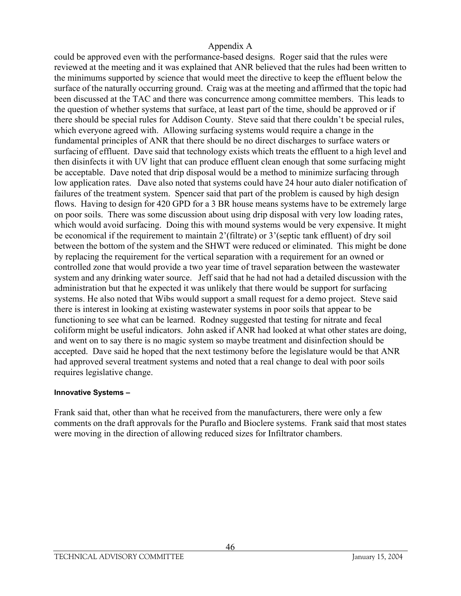could be approved even with the performance-based designs. Roger said that the rules were reviewed at the meeting and it was explained that ANR believed that the rules had been written to the minimums supported by science that would meet the directive to keep the effluent below the surface of the naturally occurring ground. Craig was at the meeting and affirmed that the topic had been discussed at the TAC and there was concurrence among committee members. This leads to the question of whether systems that surface, at least part of the time, should be approved or if there should be special rules for Addison County. Steve said that there couldn't be special rules, which everyone agreed with. Allowing surfacing systems would require a change in the fundamental principles of ANR that there should be no direct discharges to surface waters or surfacing of effluent. Dave said that technology exists which treats the effluent to a high level and then disinfects it with UV light that can produce effluent clean enough that some surfacing might be acceptable. Dave noted that drip disposal would be a method to minimize surfacing through low application rates. Dave also noted that systems could have 24 hour auto dialer notification of failures of the treatment system. Spencer said that part of the problem is caused by high design flows. Having to design for 420 GPD for a 3 BR house means systems have to be extremely large on poor soils. There was some discussion about using drip disposal with very low loading rates, which would avoid surfacing. Doing this with mound systems would be very expensive. It might be economical if the requirement to maintain 2'(filtrate) or 3'(septic tank effluent) of dry soil between the bottom of the system and the SHWT were reduced or eliminated. This might be done by replacing the requirement for the vertical separation with a requirement for an owned or controlled zone that would provide a two year time of travel separation between the wastewater system and any drinking water source. Jeff said that he had not had a detailed discussion with the administration but that he expected it was unlikely that there would be support for surfacing systems. He also noted that Wibs would support a small request for a demo project. Steve said there is interest in looking at existing wastewater systems in poor soils that appear to be functioning to see what can be learned. Rodney suggested that testing for nitrate and fecal coliform might be useful indicators. John asked if ANR had looked at what other states are doing, and went on to say there is no magic system so maybe treatment and disinfection should be accepted. Dave said he hoped that the next testimony before the legislature would be that ANR had approved several treatment systems and noted that a real change to deal with poor soils requires legislative change.

#### **Innovative Systems –**

Frank said that, other than what he received from the manufacturers, there were only a few comments on the draft approvals for the Puraflo and Bioclere systems. Frank said that most states were moving in the direction of allowing reduced sizes for Infiltrator chambers.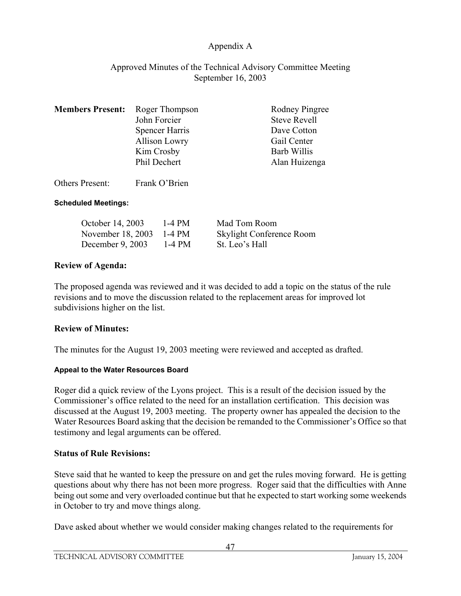### Approved Minutes of the Technical Advisory Committee Meeting September 16, 2003

| <b>Members Present:</b> Roger Thompson |                       | <b>Rodney Pingree</b> |
|----------------------------------------|-----------------------|-----------------------|
|                                        | John Forcier          | <b>Steve Revell</b>   |
|                                        | <b>Spencer Harris</b> | Dave Cotton           |
|                                        | <b>Allison Lowry</b>  | Gail Center           |
|                                        | Kim Crosby            | <b>Barb Willis</b>    |
|                                        | Phil Dechert          | Alan Huizenga         |
|                                        |                       |                       |

Others Present: Frank O'Brien

### **Scheduled Meetings:**

| October 14, 2003   | 1-4 PM | Mad Tom Room                    |
|--------------------|--------|---------------------------------|
| November 18, 2003  | 1-4 PM | <b>Skylight Conference Room</b> |
| December $9, 2003$ | 1-4 PM | St. Leo's Hall                  |

### **Review of Agenda:**

The proposed agenda was reviewed and it was decided to add a topic on the status of the rule revisions and to move the discussion related to the replacement areas for improved lot subdivisions higher on the list.

### **Review of Minutes:**

The minutes for the August 19, 2003 meeting were reviewed and accepted as drafted.

#### **Appeal to the Water Resources Board**

Roger did a quick review of the Lyons project. This is a result of the decision issued by the Commissioner's office related to the need for an installation certification. This decision was discussed at the August 19, 2003 meeting. The property owner has appealed the decision to the Water Resources Board asking that the decision be remanded to the Commissioner's Office so that testimony and legal arguments can be offered.

### **Status of Rule Revisions:**

Steve said that he wanted to keep the pressure on and get the rules moving forward. He is getting questions about why there has not been more progress. Roger said that the difficulties with Anne being out some and very overloaded continue but that he expected to start working some weekends in October to try and move things along.

Dave asked about whether we would consider making changes related to the requirements for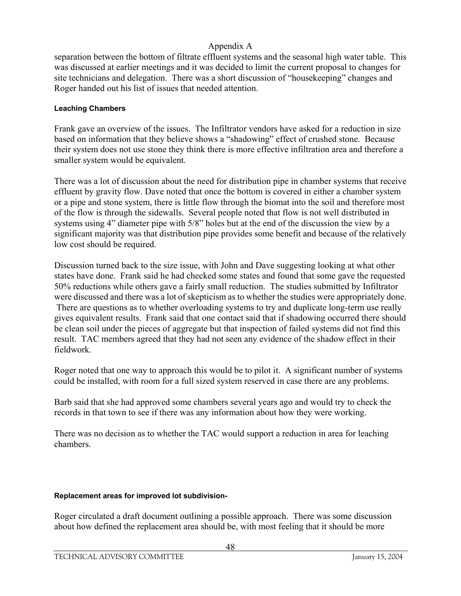separation between the bottom of filtrate effluent systems and the seasonal high water table. This was discussed at earlier meetings and it was decided to limit the current proposal to changes for site technicians and delegation. There was a short discussion of "housekeeping" changes and Roger handed out his list of issues that needed attention.

#### **Leaching Chambers**

Frank gave an overview of the issues. The Infiltrator vendors have asked for a reduction in size based on information that they believe shows a "shadowing" effect of crushed stone. Because their system does not use stone they think there is more effective infiltration area and therefore a smaller system would be equivalent.

There was a lot of discussion about the need for distribution pipe in chamber systems that receive effluent by gravity flow. Dave noted that once the bottom is covered in either a chamber system or a pipe and stone system, there is little flow through the biomat into the soil and therefore most of the flow is through the sidewalls. Several people noted that flow is not well distributed in systems using 4" diameter pipe with 5/8" holes but at the end of the discussion the view by a significant majority was that distribution pipe provides some benefit and because of the relatively low cost should be required.

Discussion turned back to the size issue, with John and Dave suggesting looking at what other states have done. Frank said he had checked some states and found that some gave the requested 50% reductions while others gave a fairly small reduction. The studies submitted by Infiltrator were discussed and there was a lot of skepticism as to whether the studies were appropriately done. There are questions as to whether overloading systems to try and duplicate long-term use really gives equivalent results. Frank said that one contact said that if shadowing occurred there should be clean soil under the pieces of aggregate but that inspection of failed systems did not find this result. TAC members agreed that they had not seen any evidence of the shadow effect in their fieldwork.

Roger noted that one way to approach this would be to pilot it. A significant number of systems could be installed, with room for a full sized system reserved in case there are any problems.

Barb said that she had approved some chambers several years ago and would try to check the records in that town to see if there was any information about how they were working.

There was no decision as to whether the TAC would support a reduction in area for leaching chambers.

#### **Replacement areas for improved lot subdivision-**

Roger circulated a draft document outlining a possible approach. There was some discussion about how defined the replacement area should be, with most feeling that it should be more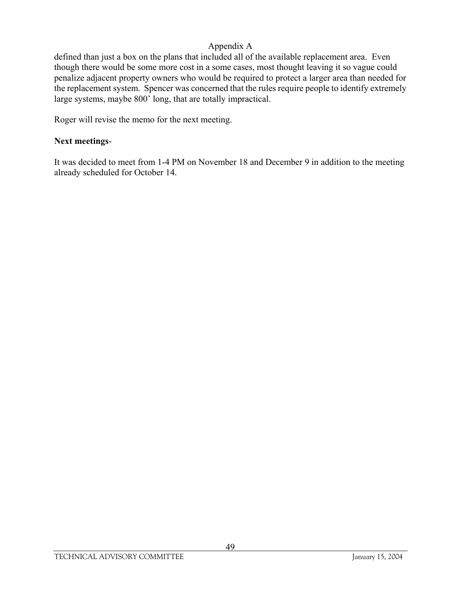defined than just a box on the plans that included all of the available replacement area. Even though there would be some more cost in a some cases, most thought leaving it so vague could penalize adjacent property owners who would be required to protect a larger area than needed for the replacement system. Spencer was concerned that the rules require people to identify extremely large systems, maybe 800' long, that are totally impractical.

Roger will revise the memo for the next meeting.

### **Next meetings**-

It was decided to meet from 1-4 PM on November 18 and December 9 in addition to the meeting already scheduled for October 14.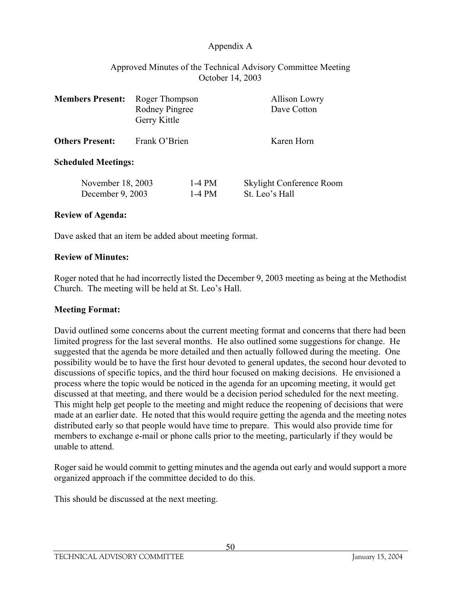### Approved Minutes of the Technical Advisory Committee Meeting October 14, 2003

| <b>Members Present:</b>               | Roger Thompson<br><b>Rodney Pingree</b><br>Gerry Kittle |                      |                | Allison Lowry<br>Dave Cotton |
|---------------------------------------|---------------------------------------------------------|----------------------|----------------|------------------------------|
| <b>Others Present:</b>                | Frank O'Brien                                           |                      |                | Karen Horn                   |
| <b>Scheduled Meetings:</b>            |                                                         |                      |                |                              |
| November 18, 2003<br>December 9, 2003 |                                                         | $1-4$ PM<br>$1-4$ PM | St. Leo's Hall | Skylight Conference Room     |

### **Review of Agenda:**

Dave asked that an item be added about meeting format.

#### **Review of Minutes:**

Roger noted that he had incorrectly listed the December 9, 2003 meeting as being at the Methodist Church. The meeting will be held at St. Leo's Hall.

### **Meeting Format:**

David outlined some concerns about the current meeting format and concerns that there had been limited progress for the last several months. He also outlined some suggestions for change. He suggested that the agenda be more detailed and then actually followed during the meeting. One possibility would be to have the first hour devoted to general updates, the second hour devoted to discussions of specific topics, and the third hour focused on making decisions. He envisioned a process where the topic would be noticed in the agenda for an upcoming meeting, it would get discussed at that meeting, and there would be a decision period scheduled for the next meeting. This might help get people to the meeting and might reduce the reopening of decisions that were made at an earlier date. He noted that this would require getting the agenda and the meeting notes distributed early so that people would have time to prepare. This would also provide time for members to exchange e-mail or phone calls prior to the meeting, particularly if they would be unable to attend.

Roger said he would commit to getting minutes and the agenda out early and would support a more organized approach if the committee decided to do this.

This should be discussed at the next meeting.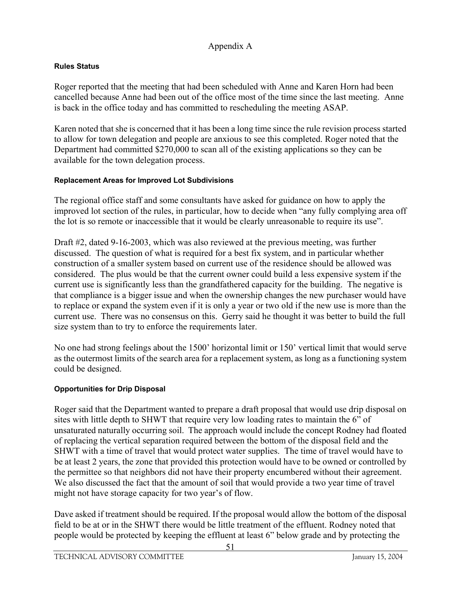### **Rules Status**

Roger reported that the meeting that had been scheduled with Anne and Karen Horn had been cancelled because Anne had been out of the office most of the time since the last meeting. Anne is back in the office today and has committed to rescheduling the meeting ASAP.

Karen noted that she is concerned that it has been a long time since the rule revision process started to allow for town delegation and people are anxious to see this completed. Roger noted that the Department had committed \$270,000 to scan all of the existing applications so they can be available for the town delegation process.

#### **Replacement Areas for Improved Lot Subdivisions**

The regional office staff and some consultants have asked for guidance on how to apply the improved lot section of the rules, in particular, how to decide when "any fully complying area off the lot is so remote or inaccessible that it would be clearly unreasonable to require its use".

Draft #2, dated 9-16-2003, which was also reviewed at the previous meeting, was further discussed. The question of what is required for a best fix system, and in particular whether construction of a smaller system based on current use of the residence should be allowed was considered. The plus would be that the current owner could build a less expensive system if the current use is significantly less than the grandfathered capacity for the building. The negative is that compliance is a bigger issue and when the ownership changes the new purchaser would have to replace or expand the system even if it is only a year or two old if the new use is more than the current use. There was no consensus on this. Gerry said he thought it was better to build the full size system than to try to enforce the requirements later.

No one had strong feelings about the 1500' horizontal limit or 150' vertical limit that would serve as the outermost limits of the search area for a replacement system, as long as a functioning system could be designed.

### **Opportunities for Drip Disposal**

Roger said that the Department wanted to prepare a draft proposal that would use drip disposal on sites with little depth to SHWT that require very low loading rates to maintain the 6" of unsaturated naturally occurring soil. The approach would include the concept Rodney had floated of replacing the vertical separation required between the bottom of the disposal field and the SHWT with a time of travel that would protect water supplies. The time of travel would have to be at least 2 years, the zone that provided this protection would have to be owned or controlled by the permittee so that neighbors did not have their property encumbered without their agreement. We also discussed the fact that the amount of soil that would provide a two year time of travel might not have storage capacity for two year's of flow.

Dave asked if treatment should be required. If the proposal would allow the bottom of the disposal field to be at or in the SHWT there would be little treatment of the effluent. Rodney noted that people would be protected by keeping the effluent at least 6" below grade and by protecting the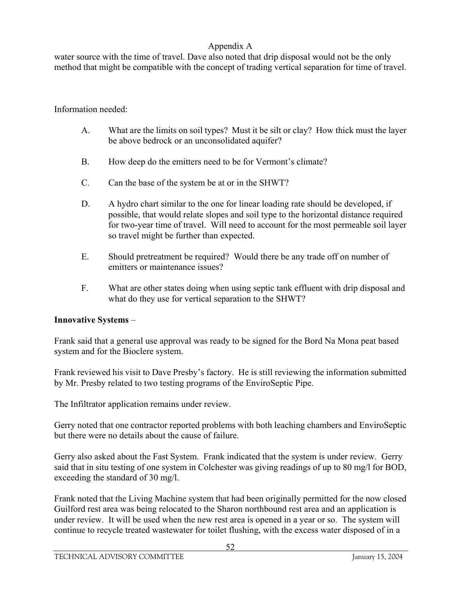water source with the time of travel. Dave also noted that drip disposal would not be the only method that might be compatible with the concept of trading vertical separation for time of travel.

### Information needed:

- A. What are the limits on soil types? Must it be silt or clay? How thick must the layer be above bedrock or an unconsolidated aquifer?
- B. How deep do the emitters need to be for Vermont's climate?
- C. Can the base of the system be at or in the SHWT?
- D. A hydro chart similar to the one for linear loading rate should be developed, if possible, that would relate slopes and soil type to the horizontal distance required for two-year time of travel. Will need to account for the most permeable soil layer so travel might be further than expected.
- E. Should pretreatment be required? Would there be any trade off on number of emitters or maintenance issues?
- F. What are other states doing when using septic tank effluent with drip disposal and what do they use for vertical separation to the SHWT?

#### **Innovative Systems** –

Frank said that a general use approval was ready to be signed for the Bord Na Mona peat based system and for the Bioclere system.

Frank reviewed his visit to Dave Presby's factory. He is still reviewing the information submitted by Mr. Presby related to two testing programs of the EnviroSeptic Pipe.

The Infiltrator application remains under review.

Gerry noted that one contractor reported problems with both leaching chambers and EnviroSeptic but there were no details about the cause of failure.

Gerry also asked about the Fast System. Frank indicated that the system is under review. Gerry said that in situ testing of one system in Colchester was giving readings of up to 80 mg/l for BOD, exceeding the standard of 30 mg/l.

Frank noted that the Living Machine system that had been originally permitted for the now closed Guilford rest area was being relocated to the Sharon northbound rest area and an application is under review. It will be used when the new rest area is opened in a year or so. The system will continue to recycle treated wastewater for toilet flushing, with the excess water disposed of in a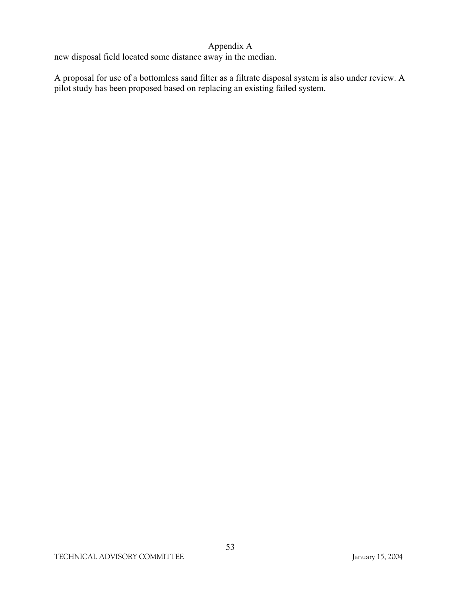new disposal field located some distance away in the median.

A proposal for use of a bottomless sand filter as a filtrate disposal system is also under review. A pilot study has been proposed based on replacing an existing failed system.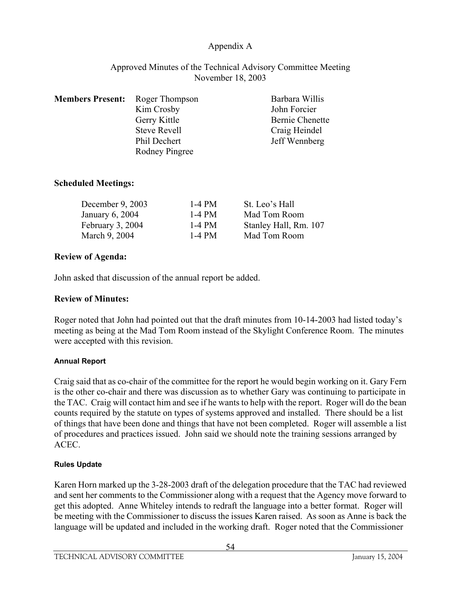### Approved Minutes of the Technical Advisory Committee Meeting November 18, 2003

| <b>Members Present:</b> | Roger Thompson        | Barbara Willis  |
|-------------------------|-----------------------|-----------------|
|                         | Kim Crosby            | John Forcier    |
|                         | Gerry Kittle          | Bernie Chenette |
|                         | Steve Revell          | Craig Heindel   |
|                         | Phil Dechert          | Jeff Wennberg   |
|                         | <b>Rodney Pingree</b> |                 |

### **Scheduled Meetings:**

| 1-4 PM | St. Leo's Hall        |
|--------|-----------------------|
| 1-4 PM | Mad Tom Room          |
| 1-4 PM | Stanley Hall, Rm. 107 |
| 1-4 PM | Mad Tom Room          |
|        |                       |

### **Review of Agenda:**

John asked that discussion of the annual report be added.

#### **Review of Minutes:**

Roger noted that John had pointed out that the draft minutes from 10-14-2003 had listed today's meeting as being at the Mad Tom Room instead of the Skylight Conference Room. The minutes were accepted with this revision.

#### **Annual Report**

Craig said that as co-chair of the committee for the report he would begin working on it. Gary Fern is the other co-chair and there was discussion as to whether Gary was continuing to participate in the TAC. Craig will contact him and see if he wants to help with the report. Roger will do the bean counts required by the statute on types of systems approved and installed. There should be a list of things that have been done and things that have not been completed. Roger will assemble a list of procedures and practices issued. John said we should note the training sessions arranged by ACEC.

#### **Rules Update**

Karen Horn marked up the 3-28-2003 draft of the delegation procedure that the TAC had reviewed and sent her comments to the Commissioner along with a request that the Agency move forward to get this adopted. Anne Whiteley intends to redraft the language into a better format. Roger will be meeting with the Commissioner to discuss the issues Karen raised. As soon as Anne is back the language will be updated and included in the working draft. Roger noted that the Commissioner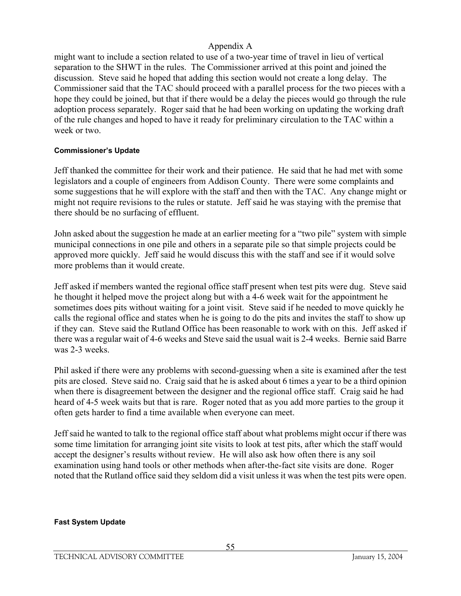might want to include a section related to use of a two-year time of travel in lieu of vertical separation to the SHWT in the rules. The Commissioner arrived at this point and joined the discussion. Steve said he hoped that adding this section would not create a long delay. The Commissioner said that the TAC should proceed with a parallel process for the two pieces with a hope they could be joined, but that if there would be a delay the pieces would go through the rule adoption process separately. Roger said that he had been working on updating the working draft of the rule changes and hoped to have it ready for preliminary circulation to the TAC within a week or two.

#### **Commissioner's Update**

Jeff thanked the committee for their work and their patience. He said that he had met with some legislators and a couple of engineers from Addison County. There were some complaints and some suggestions that he will explore with the staff and then with the TAC. Any change might or might not require revisions to the rules or statute. Jeff said he was staying with the premise that there should be no surfacing of effluent.

John asked about the suggestion he made at an earlier meeting for a "two pile" system with simple municipal connections in one pile and others in a separate pile so that simple projects could be approved more quickly. Jeff said he would discuss this with the staff and see if it would solve more problems than it would create.

Jeff asked if members wanted the regional office staff present when test pits were dug. Steve said he thought it helped move the project along but with a 4-6 week wait for the appointment he sometimes does pits without waiting for a joint visit. Steve said if he needed to move quickly he calls the regional office and states when he is going to do the pits and invites the staff to show up if they can. Steve said the Rutland Office has been reasonable to work with on this. Jeff asked if there was a regular wait of 4-6 weeks and Steve said the usual wait is 2-4 weeks. Bernie said Barre was 2-3 weeks.

Phil asked if there were any problems with second-guessing when a site is examined after the test pits are closed. Steve said no. Craig said that he is asked about 6 times a year to be a third opinion when there is disagreement between the designer and the regional office staff. Craig said he had heard of 4-5 week waits but that is rare. Roger noted that as you add more parties to the group it often gets harder to find a time available when everyone can meet.

Jeff said he wanted to talk to the regional office staff about what problems might occur if there was some time limitation for arranging joint site visits to look at test pits, after which the staff would accept the designer's results without review. He will also ask how often there is any soil examination using hand tools or other methods when after-the-fact site visits are done. Roger noted that the Rutland office said they seldom did a visit unless it was when the test pits were open.

#### **Fast System Update**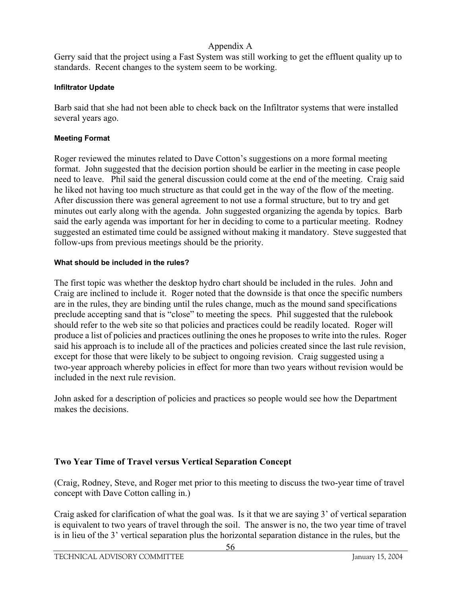Gerry said that the project using a Fast System was still working to get the effluent quality up to standards. Recent changes to the system seem to be working.

#### **Infiltrator Update**

Barb said that she had not been able to check back on the Infiltrator systems that were installed several years ago.

### **Meeting Format**

Roger reviewed the minutes related to Dave Cotton's suggestions on a more formal meeting format. John suggested that the decision portion should be earlier in the meeting in case people need to leave. Phil said the general discussion could come at the end of the meeting. Craig said he liked not having too much structure as that could get in the way of the flow of the meeting. After discussion there was general agreement to not use a formal structure, but to try and get minutes out early along with the agenda. John suggested organizing the agenda by topics. Barb said the early agenda was important for her in deciding to come to a particular meeting. Rodney suggested an estimated time could be assigned without making it mandatory. Steve suggested that follow-ups from previous meetings should be the priority.

### **What should be included in the rules?**

The first topic was whether the desktop hydro chart should be included in the rules. John and Craig are inclined to include it. Roger noted that the downside is that once the specific numbers are in the rules, they are binding until the rules change, much as the mound sand specifications preclude accepting sand that is "close" to meeting the specs. Phil suggested that the rulebook should refer to the web site so that policies and practices could be readily located. Roger will produce a list of policies and practices outlining the ones he proposes to write into the rules. Roger said his approach is to include all of the practices and policies created since the last rule revision, except for those that were likely to be subject to ongoing revision. Craig suggested using a two-year approach whereby policies in effect for more than two years without revision would be included in the next rule revision.

John asked for a description of policies and practices so people would see how the Department makes the decisions.

# **Two Year Time of Travel versus Vertical Separation Concept**

(Craig, Rodney, Steve, and Roger met prior to this meeting to discuss the two-year time of travel concept with Dave Cotton calling in.)

Craig asked for clarification of what the goal was. Is it that we are saying 3' of vertical separation is equivalent to two years of travel through the soil. The answer is no, the two year time of travel is in lieu of the 3' vertical separation plus the horizontal separation distance in the rules, but the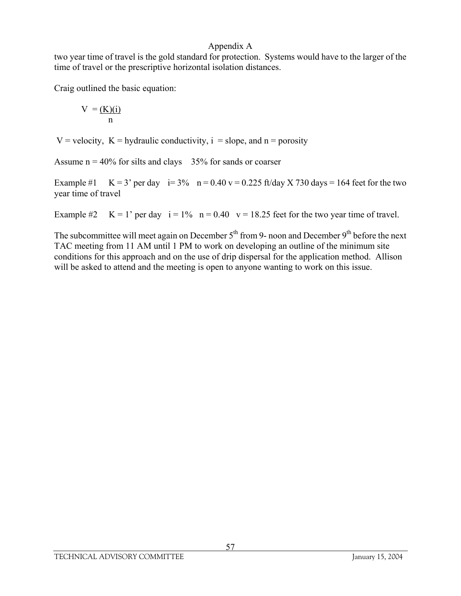two year time of travel is the gold standard for protection. Systems would have to the larger of the time of travel or the prescriptive horizontal isolation distances.

Craig outlined the basic equation:

$$
V = \underbrace{(K)(i)}_{n}
$$

V = velocity,  $K =$  hydraulic conductivity,  $i =$  slope, and  $n =$  porosity

Assume  $n = 40\%$  for silts and clays 35% for sands or coarser

Example #1  $K = 3'$  per day  $i= 3\%$  n = 0.40 v = 0.225 ft/day X 730 days = 164 feet for the two year time of travel

Example #2  $K = 1'$  per day  $i = 1\%$   $n = 0.40$   $v = 18.25$  feet for the two year time of travel.

The subcommittee will meet again on December  $5<sup>th</sup>$  from 9- noon and December 9<sup>th</sup> before the next TAC meeting from 11 AM until 1 PM to work on developing an outline of the minimum site conditions for this approach and on the use of drip dispersal for the application method. Allison will be asked to attend and the meeting is open to anyone wanting to work on this issue.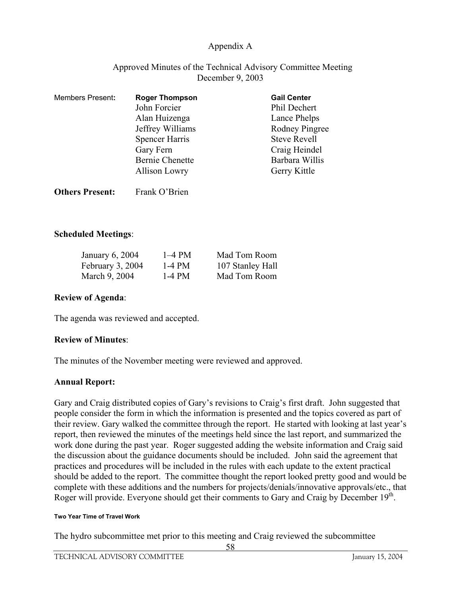### Approved Minutes of the Technical Advisory Committee Meeting December 9, 2003

| <b>Members Present:</b> | <b>Roger Thompson</b>  | <b>Gail Center</b>  |
|-------------------------|------------------------|---------------------|
|                         | John Forcier           | Phil Dechert        |
|                         | Alan Huizenga          | Lance Phelps        |
|                         | Jeffrey Williams       | Rodney Pingree      |
|                         | <b>Spencer Harris</b>  | <b>Steve Revell</b> |
|                         | Gary Fern              | Craig Heindel       |
|                         | <b>Bernie Chenette</b> | Barbara Willis      |
|                         | <b>Allison Lowry</b>   | Gerry Kittle        |
|                         |                        |                     |

### **Scheduled Meetings**:

| January 6, 2004  | $1-4$ PM | Mad Tom Room     |
|------------------|----------|------------------|
| February 3, 2004 | 1-4 PM   | 107 Stanley Hall |
| March 9, 2004    | $1-4$ PM | Mad Tom Room     |

#### **Review of Agenda**:

The agenda was reviewed and accepted.

**Others Present:** Frank O'Brien

#### **Review of Minutes**:

The minutes of the November meeting were reviewed and approved.

#### **Annual Report:**

Gary and Craig distributed copies of Gary's revisions to Craig's first draft. John suggested that people consider the form in which the information is presented and the topics covered as part of their review. Gary walked the committee through the report. He started with looking at last year's report, then reviewed the minutes of the meetings held since the last report, and summarized the work done during the past year. Roger suggested adding the website information and Craig said the discussion about the guidance documents should be included. John said the agreement that practices and procedures will be included in the rules with each update to the extent practical should be added to the report. The committee thought the report looked pretty good and would be complete with these additions and the numbers for projects/denials/innovative approvals/etc., that Roger will provide. Everyone should get their comments to Gary and Craig by December 19<sup>th</sup>.

#### **Two Year Time of Travel Work**

The hydro subcommittee met prior to this meeting and Craig reviewed the subcommittee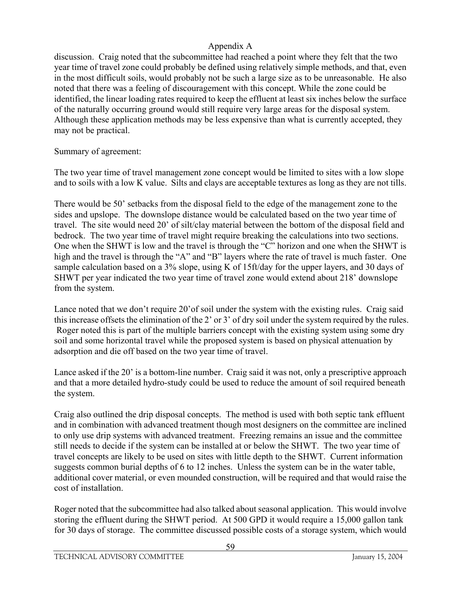discussion. Craig noted that the subcommittee had reached a point where they felt that the two year time of travel zone could probably be defined using relatively simple methods, and that, even in the most difficult soils, would probably not be such a large size as to be unreasonable. He also noted that there was a feeling of discouragement with this concept. While the zone could be identified, the linear loading rates required to keep the effluent at least six inches below the surface of the naturally occurring ground would still require very large areas for the disposal system. Although these application methods may be less expensive than what is currently accepted, they may not be practical.

Summary of agreement:

The two year time of travel management zone concept would be limited to sites with a low slope and to soils with a low K value. Silts and clays are acceptable textures as long as they are not tills.

There would be 50' setbacks from the disposal field to the edge of the management zone to the sides and upslope. The downslope distance would be calculated based on the two year time of travel. The site would need 20' of silt/clay material between the bottom of the disposal field and bedrock. The two year time of travel might require breaking the calculations into two sections. One when the SHWT is low and the travel is through the "C" horizon and one when the SHWT is high and the travel is through the "A" and "B" layers where the rate of travel is much faster. One sample calculation based on a 3% slope, using K of 15ft/day for the upper layers, and 30 days of SHWT per year indicated the two year time of travel zone would extend about 218' downslope from the system.

Lance noted that we don't require 20'of soil under the system with the existing rules. Craig said this increase offsets the elimination of the 2' or 3' of dry soil under the system required by the rules. Roger noted this is part of the multiple barriers concept with the existing system using some dry soil and some horizontal travel while the proposed system is based on physical attenuation by adsorption and die off based on the two year time of travel.

Lance asked if the 20' is a bottom-line number. Craig said it was not, only a prescriptive approach and that a more detailed hydro-study could be used to reduce the amount of soil required beneath the system.

Craig also outlined the drip disposal concepts. The method is used with both septic tank effluent and in combination with advanced treatment though most designers on the committee are inclined to only use drip systems with advanced treatment. Freezing remains an issue and the committee still needs to decide if the system can be installed at or below the SHWT. The two year time of travel concepts are likely to be used on sites with little depth to the SHWT. Current information suggests common burial depths of 6 to 12 inches. Unless the system can be in the water table, additional cover material, or even mounded construction, will be required and that would raise the cost of installation.

Roger noted that the subcommittee had also talked about seasonal application. This would involve storing the effluent during the SHWT period. At 500 GPD it would require a 15,000 gallon tank for 30 days of storage. The committee discussed possible costs of a storage system, which would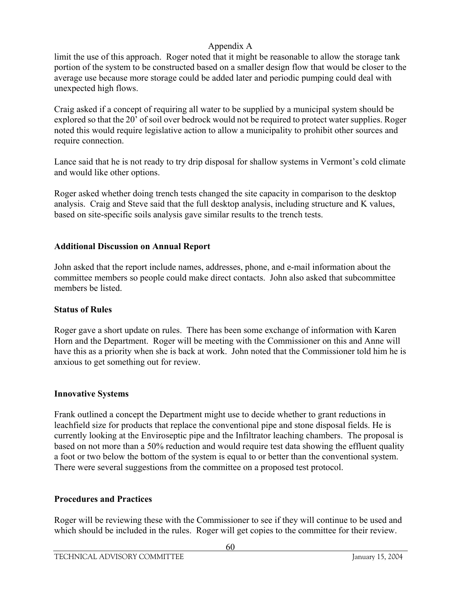limit the use of this approach. Roger noted that it might be reasonable to allow the storage tank portion of the system to be constructed based on a smaller design flow that would be closer to the average use because more storage could be added later and periodic pumping could deal with unexpected high flows.

Craig asked if a concept of requiring all water to be supplied by a municipal system should be explored so that the 20' of soil over bedrock would not be required to protect water supplies. Roger noted this would require legislative action to allow a municipality to prohibit other sources and require connection.

Lance said that he is not ready to try drip disposal for shallow systems in Vermont's cold climate and would like other options.

Roger asked whether doing trench tests changed the site capacity in comparison to the desktop analysis. Craig and Steve said that the full desktop analysis, including structure and K values, based on site-specific soils analysis gave similar results to the trench tests.

### **Additional Discussion on Annual Report**

John asked that the report include names, addresses, phone, and e-mail information about the committee members so people could make direct contacts. John also asked that subcommittee members be listed.

#### **Status of Rules**

Roger gave a short update on rules. There has been some exchange of information with Karen Horn and the Department. Roger will be meeting with the Commissioner on this and Anne will have this as a priority when she is back at work. John noted that the Commissioner told him he is anxious to get something out for review.

#### **Innovative Systems**

Frank outlined a concept the Department might use to decide whether to grant reductions in leachfield size for products that replace the conventional pipe and stone disposal fields. He is currently looking at the Enviroseptic pipe and the Infiltrator leaching chambers. The proposal is based on not more than a 50% reduction and would require test data showing the effluent quality a foot or two below the bottom of the system is equal to or better than the conventional system. There were several suggestions from the committee on a proposed test protocol.

### **Procedures and Practices**

Roger will be reviewing these with the Commissioner to see if they will continue to be used and which should be included in the rules. Roger will get copies to the committee for their review.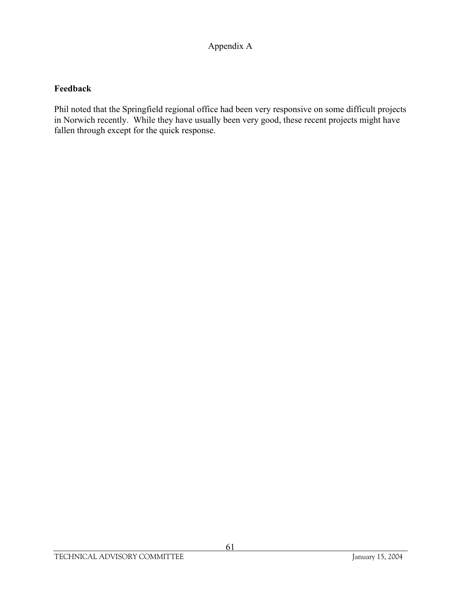# **Feedback**

Phil noted that the Springfield regional office had been very responsive on some difficult projects in Norwich recently. While they have usually been very good, these recent projects might have fallen through except for the quick response.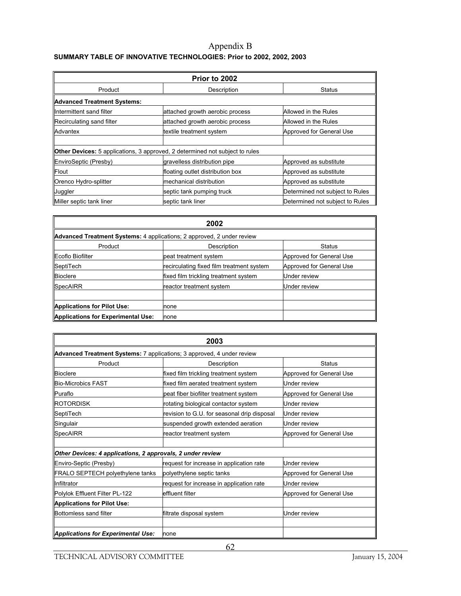#### Appendix B **SUMMARY TABLE OF INNOVATIVE TECHNOLOGIES: Prior to 2002, 2002, 2003**

| Prior to 2002                                                                       |                                  |                                 |  |  |  |
|-------------------------------------------------------------------------------------|----------------------------------|---------------------------------|--|--|--|
| Product                                                                             | Description                      | <b>Status</b>                   |  |  |  |
| <b>Advanced Treatment Systems:</b>                                                  |                                  |                                 |  |  |  |
| Intermittent sand filter                                                            | attached growth aerobic process  | Allowed in the Rules            |  |  |  |
| Recirculating sand filter                                                           | attached growth aerobic process  | Allowed in the Rules            |  |  |  |
| Advantex                                                                            | textile treatment system         | Approved for General Use        |  |  |  |
|                                                                                     |                                  |                                 |  |  |  |
| <b>Other Devices:</b> 5 applications, 3 approved, 2 determined not subject to rules |                                  |                                 |  |  |  |
| EnviroSeptic (Presby)                                                               | gravelless distribution pipe     | Approved as substitute          |  |  |  |
| Flout                                                                               | floating outlet distribution box | Approved as substitute          |  |  |  |
| Orenco Hydro-splitter                                                               | mechanical distribution          | Approved as substitute          |  |  |  |
| Juggler                                                                             | septic tank pumping truck        | Determined not subject to Rules |  |  |  |
| Miller septic tank liner                                                            | septic tank liner                | Determined not subject to Rules |  |  |  |

| 2002                                                                          |                                           |                          |  |  |  |  |
|-------------------------------------------------------------------------------|-------------------------------------------|--------------------------|--|--|--|--|
| <b>Advanced Treatment Systems:</b> 4 applications; 2 approved, 2 under review |                                           |                          |  |  |  |  |
| Product                                                                       | Description                               | Status                   |  |  |  |  |
| Ecoflo Biofilter                                                              | peat treatment system                     | Approved for General Use |  |  |  |  |
| SeptiTech                                                                     | recirculating fixed film treatment system | Approved for General Use |  |  |  |  |
| <b>Bioclere</b>                                                               | fixed film trickling treatment system     | Under review             |  |  |  |  |
| SpecAIRR                                                                      | reactor treatment system                  | Under review             |  |  |  |  |
|                                                                               |                                           |                          |  |  |  |  |
| Applications for Pilot Use:                                                   | none                                      |                          |  |  |  |  |
| Applications for Experimental Use:                                            | none                                      |                          |  |  |  |  |

| 2003                                                                          |                                                                   |                          |  |  |  |  |
|-------------------------------------------------------------------------------|-------------------------------------------------------------------|--------------------------|--|--|--|--|
| <b>Advanced Treatment Systems:</b> 7 applications; 3 approved, 4 under review |                                                                   |                          |  |  |  |  |
| Product                                                                       | Description<br>Status                                             |                          |  |  |  |  |
| Bioclere                                                                      | fixed film trickling treatment system<br>Approved for General Use |                          |  |  |  |  |
| <b>Bio-Microbics FAST</b>                                                     | fixed film aerated treatment system<br>Under review               |                          |  |  |  |  |
| Puraflo                                                                       | peat fiber biofilter treatment system<br>Approved for General Use |                          |  |  |  |  |
| <b>IROTORDISK</b>                                                             | rotating biological contactor system<br>Under review              |                          |  |  |  |  |
| SeptiTech                                                                     | revision to G.U. for seasonal drip disposal<br>Under review       |                          |  |  |  |  |
| Singulair                                                                     | suspended growth extended aeration<br>Under review                |                          |  |  |  |  |
| SpecAIRR                                                                      | reactor treatment system                                          | Approved for General Use |  |  |  |  |
|                                                                               |                                                                   |                          |  |  |  |  |
| Other Devices: 4 applications, 2 approvals, 2 under review                    |                                                                   |                          |  |  |  |  |
| Enviro-Septic (Presby)                                                        | request for increase in application rate                          | Under review             |  |  |  |  |
| FRALO SEPTECH polyethylene tanks                                              | polyethylene septic tanks                                         | Approved for General Use |  |  |  |  |
| Infiltrator                                                                   | request for increase in application rate                          | Under review             |  |  |  |  |
| Polylok Effluent Filter PL-122                                                | effluent filter                                                   | Approved for General Use |  |  |  |  |
| <b>Applications for Pilot Use:</b>                                            |                                                                   |                          |  |  |  |  |
| Bottomless sand filter                                                        | filtrate disposal system                                          | Under review             |  |  |  |  |
|                                                                               |                                                                   |                          |  |  |  |  |
| Applications for Experimental Use:                                            | none                                                              |                          |  |  |  |  |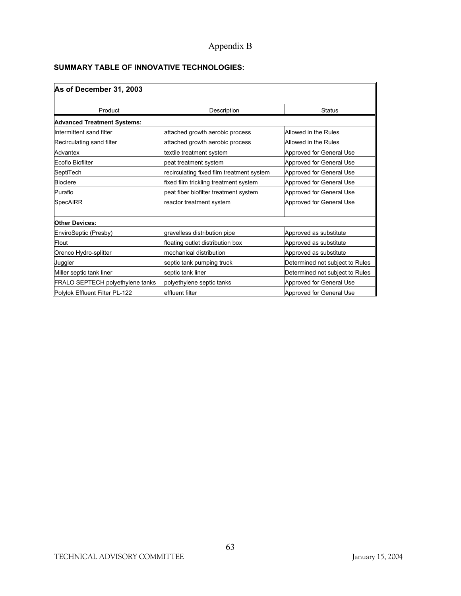# Appendix B

#### **SUMMARY TABLE OF INNOVATIVE TECHNOLOGIES:**

| As of December 31, 2003          |                                                         |                                 |  |  |  |
|----------------------------------|---------------------------------------------------------|---------------------------------|--|--|--|
|                                  |                                                         |                                 |  |  |  |
| Product                          | Description                                             | Status                          |  |  |  |
| Advanced Treatment Systems:      |                                                         |                                 |  |  |  |
| Intermittent sand filter         | attached growth aerobic process                         | Allowed in the Rules            |  |  |  |
| Recirculating sand filter        | attached growth aerobic process<br>Allowed in the Rules |                                 |  |  |  |
| Advantex                         | Approved for General Use<br>textile treatment system    |                                 |  |  |  |
| Ecoflo Biofilter                 | peat treatment system                                   | Approved for General Use        |  |  |  |
| SeptiTech                        | recirculating fixed film treatment system               | Approved for General Use        |  |  |  |
| <b>Bioclere</b>                  | fixed film trickling treatment system                   | Approved for General Use        |  |  |  |
| <b>Puraflo</b>                   | peat fiber biofilter treatment system                   | Approved for General Use        |  |  |  |
| <b>SpecAIRR</b>                  | reactor treatment system                                | Approved for General Use        |  |  |  |
|                                  |                                                         |                                 |  |  |  |
| <b>Other Devices:</b>            |                                                         |                                 |  |  |  |
| EnviroSeptic (Presby)            | gravelless distribution pipe                            | Approved as substitute          |  |  |  |
| Flout                            | floating outlet distribution box                        | Approved as substitute          |  |  |  |
| Orenco Hydro-splitter            | mechanical distribution                                 | Approved as substitute          |  |  |  |
| Juggler                          | septic tank pumping truck                               | Determined not subject to Rules |  |  |  |
| Miller septic tank liner         | Determined not subject to Rules<br>septic tank liner    |                                 |  |  |  |
| FRALO SEPTECH polyethylene tanks | Approved for General Use<br>polyethylene septic tanks   |                                 |  |  |  |
| Polylok Effluent Filter PL-122   | effluent filter                                         | Approved for General Use        |  |  |  |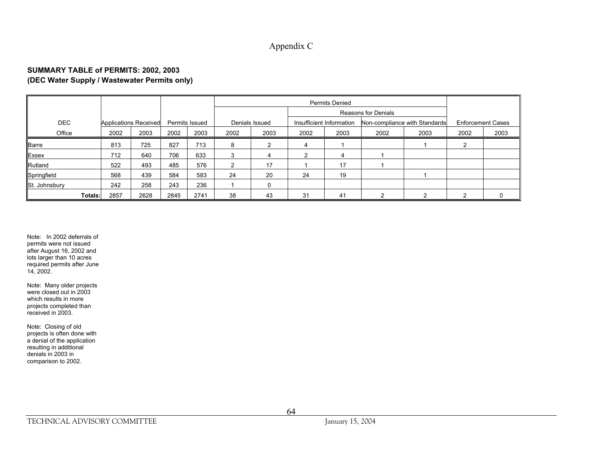#### Appendix C

#### **SUMMARY TABLE of PERMITS: 2002, 2003 (DEC Water Supply / Wastewater Permits only)**

|               |                              |      |      |                | <b>Permits Denied</b> |                |      |                          |                     |                               |      |                          |
|---------------|------------------------------|------|------|----------------|-----------------------|----------------|------|--------------------------|---------------------|-------------------------------|------|--------------------------|
|               |                              |      |      |                |                       |                |      |                          | Reasons for Denials |                               |      |                          |
| <b>DEC</b>    | <b>Applications Received</b> |      |      | Permits Issued |                       | Denials Issued |      | Insufficient Information |                     | Non-compliance with Standards |      | <b>Enforcement Cases</b> |
| Office        | 2002                         | 2003 | 2002 | 2003           | 2002                  | 2003           | 2002 | 2003                     | 2002                | 2003                          | 2002 | 2003                     |
| Barre         | 813                          | 725  | 827  | 713            | 8                     |                | 4    |                          |                     |                               |      |                          |
| Essex         | 712                          | 640  | 706  | 633            | 3                     |                |      |                          |                     |                               |      |                          |
| Rutland       | 522                          | 493  | 485  | 576            |                       | 17             |      | 17                       |                     |                               |      |                          |
| Springfield   | 568                          | 439  | 584  | 583            | 24                    | 20             | 24   | 19                       |                     |                               |      |                          |
| St. Johnsbury | 242                          | 258  | 243  | 236            |                       |                |      |                          |                     |                               |      |                          |
| Totals:       | 2857                         | 2628 | 2845 | 2741           | 38                    | 43             | 31   | 41                       | ີ                   |                               |      |                          |

Note: In 2002 deferrals of permits were not issued after August 16, 2002 and lots larger than 10 acres required permits after June 14, 2002.

Note: Many older projects were closed out in 2003 which results in more projects completed than received in 2003.

Note: Closing of old projects is often done with a denial of the application resulting in additional denials in 2003 in comparison to 2002.

64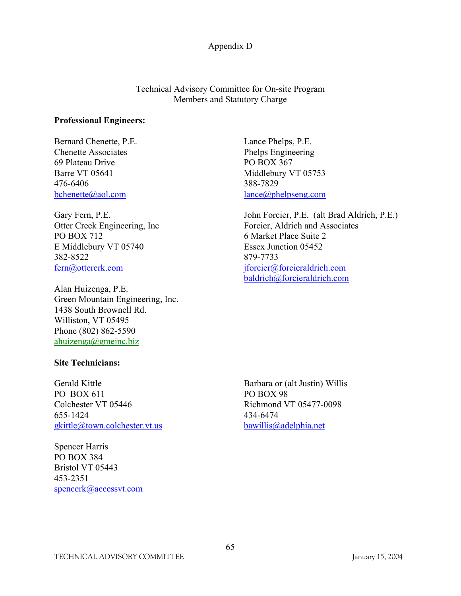Technical Advisory Committee for On-site Program Members and Statutory Charge

#### **Professional Engineers:**

Bernard Chenette, P.E. Lance Phelps, P.E. Chenette Associates Phelps Engineering 69 Plateau Drive PO BOX 367 Barre VT 05641 Middlebury VT 05753 476-6406 388-7829 bchenette@aol.com lance@phelpseng.com

PO BOX 712 6 Market Place Suite 2 E Middlebury VT 05740 Essex Junction 05452 382-8522 879-7733

Alan Huizenga, P.E. Green Mountain Engineering, Inc. 1438 South Brownell Rd. Williston, VT 05495 Phone (802) 862-5590 ahuizenga@gmeinc.biz

Gary Fern, P.E. (alt Brad Aldrich, P.E.) Otter Creek Engineering, Inc Forcier, Aldrich and Associates fern@ottercrk.com jforcier@forcieraldrich.com baldrich@forcieraldrich.com

#### **Site Technicians:**

Gerald Kittle Barbara or (alt Justin) Willis PO BOX 611 PO BOX 98 Colchester VT 05446 Richmond VT 05477-0098 655-1424 434-6474 gkittle@town.colchester.vt.us bawillis@adelphia.net

Spencer Harris PO BOX 384 Bristol VT 05443 453-2351 spencerk@accessvt.com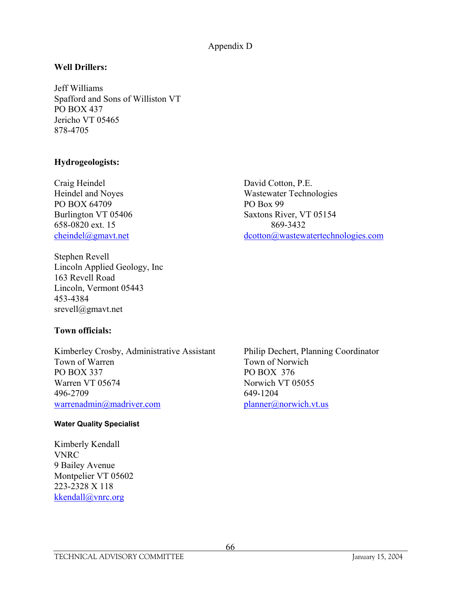### **Well Drillers:**

Jeff Williams Spafford and Sons of Williston VT PO BOX 437 Jericho VT 05465 878-4705

#### **Hydrogeologists:**

Craig Heindel David Cotton, P.E. PO BOX 64709 PO Box 99 658-0820 ext. 15 869-3432

Heindel and Noyes Wastewater Technologies Burlington VT 05406 Saxtons River, VT 05154 cheindel@gmavt.net dcotton@wastewatertechnologies.com

Stephen Revell Lincoln Applied Geology, Inc 163 Revell Road Lincoln, Vermont 05443 453-4384 srevell@gmavt.net

#### **Town officials:**

Kimberley Crosby, Administrative Assistant Philip Dechert, Planning Coordinator Town of Warren Town of Norwich PO BOX 337 PO BOX 376 Warren VT 05674 Norwich VT 05055 496-2709 649-1204 warrenadmin@madriver.com planner@norwich.vt.us

#### **Water Quality Specialist**

Kimberly Kendall VNRC 9 Bailey Avenue Montpelier VT 05602 223-2328 X 118 kkendall@vnrc.org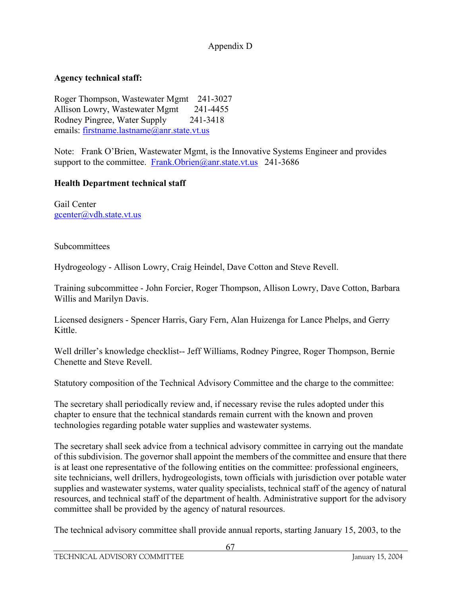# **Agency technical staff:**

Roger Thompson, Wastewater Mgmt 241-3027 Allison Lowry, Wastewater Mgmt 241-4455 Rodney Pingree, Water Supply 241-3418 emails: firstname.lastname@anr.state.vt.us

Note: Frank O'Brien, Wastewater Mgmt, is the Innovative Systems Engineer and provides support to the committee. Frank.Obrien@anr.state.vt.us 241-3686

### **Health Department technical staff**

Gail Center gcenter@vdh.state.vt.us

**Subcommittees** 

Hydrogeology - Allison Lowry, Craig Heindel, Dave Cotton and Steve Revell.

Training subcommittee - John Forcier, Roger Thompson, Allison Lowry, Dave Cotton, Barbara Willis and Marilyn Davis.

Licensed designers - Spencer Harris, Gary Fern, Alan Huizenga for Lance Phelps, and Gerry Kittle.

Well driller's knowledge checklist-- Jeff Williams, Rodney Pingree, Roger Thompson, Bernie Chenette and Steve Revell.

Statutory composition of the Technical Advisory Committee and the charge to the committee:

The secretary shall periodically review and, if necessary revise the rules adopted under this chapter to ensure that the technical standards remain current with the known and proven technologies regarding potable water supplies and wastewater systems.

The secretary shall seek advice from a technical advisory committee in carrying out the mandate of this subdivision. The governor shall appoint the members of the committee and ensure that there is at least one representative of the following entities on the committee: professional engineers, site technicians, well drillers, hydrogeologists, town officials with jurisdiction over potable water supplies and wastewater systems, water quality specialists, technical staff of the agency of natural resources, and technical staff of the department of health. Administrative support for the advisory committee shall be provided by the agency of natural resources.

The technical advisory committee shall provide annual reports, starting January 15, 2003, to the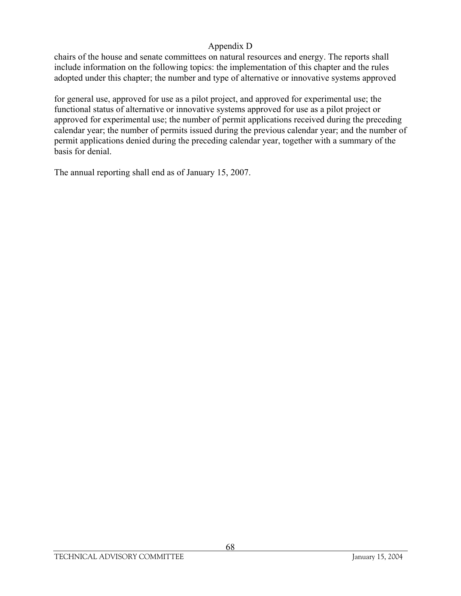chairs of the house and senate committees on natural resources and energy. The reports shall include information on the following topics: the implementation of this chapter and the rules adopted under this chapter; the number and type of alternative or innovative systems approved

for general use, approved for use as a pilot project, and approved for experimental use; the functional status of alternative or innovative systems approved for use as a pilot project or approved for experimental use; the number of permit applications received during the preceding calendar year; the number of permits issued during the previous calendar year; and the number of permit applications denied during the preceding calendar year, together with a summary of the basis for denial.

The annual reporting shall end as of January 15, 2007.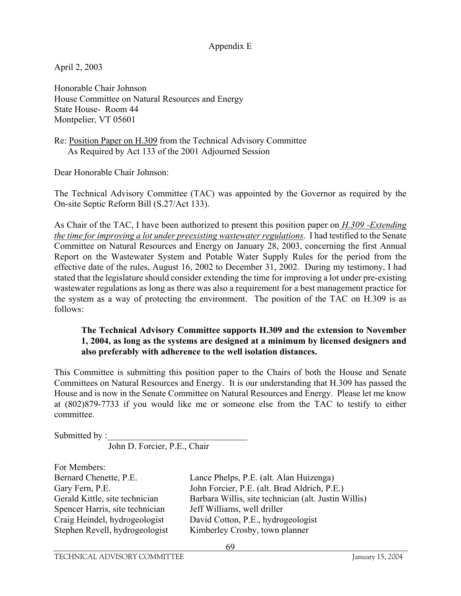#### Appendix E

April 2, 2003

Honorable Chair Johnson House Committee on Natural Resources and Energy State House- Room 44 Montpelier, VT 05601

Re: Position Paper on H.309 from the Technical Advisory Committee As Required by Act 133 of the 2001 Adjourned Session

Dear Honorable Chair Johnson:

The Technical Advisory Committee (TAC) was appointed by the Governor as required by the On-site Septic Reform Bill (S.27/Act 133).

As Chair of the TAC, I have been authorized to present this position paper on *H.309 -Extending the time for improving a lot under preexisting wastewater regulations*. I had testified to the Senate Committee on Natural Resources and Energy on January 28, 2003, concerning the first Annual Report on the Wastewater System and Potable Water Supply Rules for the period from the effective date of the rules, August 16, 2002 to December 31, 2002. During my testimony, I had stated that the legislature should consider extending the time for improving a lot under pre-existing wastewater regulations as long as there was also a requirement for a best management practice for the system as a way of protecting the environment. The position of the TAC on H.309 is as follows:

#### **The Technical Advisory Committee supports H.309 and the extension to November 1, 2004, as long as the systems are designed at a minimum by licensed designers and also preferably with adherence to the well isolation distances.**

This Committee is submitting this position paper to the Chairs of both the House and Senate Committees on Natural Resources and Energy. It is our understanding that H.309 has passed the House and is now in the Senate Committee on Natural Resources and Energy. Please let me know at (802)879-7733 if you would like me or someone else from the TAC to testify to either committee.

Submitted by :

John D. Forcier, P.E., Chair

| For Members:                    |                                                      |
|---------------------------------|------------------------------------------------------|
| Bernard Chenette, P.E.          | Lance Phelps, P.E. (alt. Alan Huizenga)              |
| Gary Fern, P.E.                 | John Forcier, P.E. (alt. Brad Aldrich, P.E.)         |
| Gerald Kittle, site technician  | Barbara Willis, site technician (alt. Justin Willis) |
| Spencer Harris, site technician | Jeff Williams, well driller                          |
| Craig Heindel, hydrogeologist   | David Cotton, P.E., hydrogeologist                   |
| Stephen Revell, hydrogeologist  | Kimberley Crosby, town planner                       |